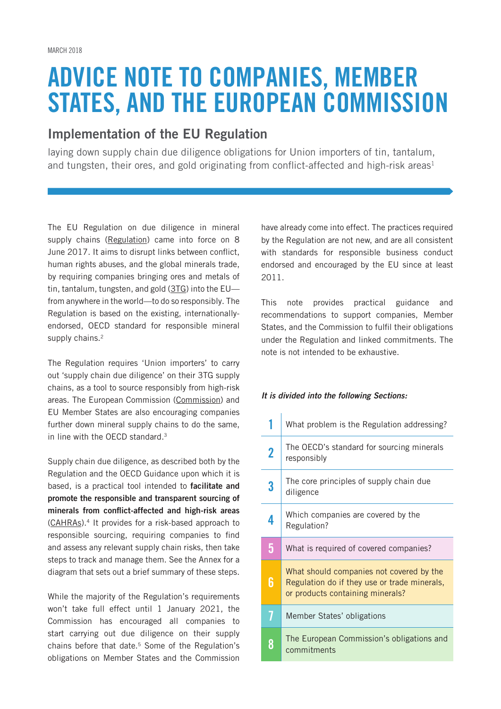# ADVICE NOTE TO COMPANIES, MEMBER STATES, AND THE EUROPEAN COMMISSION

## Implementation of the EU Regulation

laying down supply chain due diligence obligations for Union importers of tin, tantalum, and tungsten, their ores, and gold originating from conflict-affected and high-risk areas<sup>1</sup>

The EU Regulation on due diligence in mineral supply chains (Regulation) came into force on 8 June 2017. It aims to disrupt links between conflict, human rights abuses, and the global minerals trade, by requiring companies bringing ores and metals of tin, tantalum, tungsten, and gold (3TG) into the EUfrom anywhere in the world—to do so responsibly. The Regulation is based on the existing, internationallyendorsed, OECD standard for responsible mineral supply chains.<sup>2</sup>

The Regulation requires 'Union importers' to carry out 'supply chain due diligence' on their 3TG supply chains, as a tool to source responsibly from high-risk areas. The European Commission (Commission) and EU Member States are also encouraging companies further down mineral supply chains to do the same, in line with the OECD standard.3

Supply chain due diligence, as described both by the Regulation and the OECD Guidance upon which it is based, is a practical tool intended to facilitate and promote the responsible and transparent sourcing of minerals from conflict-affected and high-risk areas (CAHRAs).4 It provides for a risk-based approach to responsible sourcing, requiring companies to find and assess any relevant supply chain risks, then take steps to track and manage them. See the Annex for a diagram that sets out a brief summary of these steps.

While the majority of the Regulation's requirements won't take full effect until 1 January 2021, the Commission has encouraged all companies to start carrying out due diligence on their supply chains before that date.<sup>5</sup> Some of the Regulation's obligations on Member States and the Commission

have already come into effect. The practices required by the Regulation are not new, and are all consistent with standards for responsible business conduct endorsed and encouraged by the EU since at least 2011.

This note provides practical guidance and recommendations to support companies, Member States, and the Commission to fulfil their obligations under the Regulation and linked commitments. The note is not intended to be exhaustive.

#### *It is divided into the following Sections:*

|   | What problem is the Regulation addressing?                                                                                   |
|---|------------------------------------------------------------------------------------------------------------------------------|
| 2 | The OECD's standard for sourcing minerals<br>responsibly                                                                     |
|   | The core principles of supply chain due<br>diligence                                                                         |
|   | Which companies are covered by the<br>Regulation?                                                                            |
| 5 | What is required of covered companies?                                                                                       |
| 6 | What should companies not covered by the<br>Regulation do if they use or trade minerals,<br>or products containing minerals? |
|   | Member States' obligations                                                                                                   |
| 8 | The European Commission's obligations and<br>commitments                                                                     |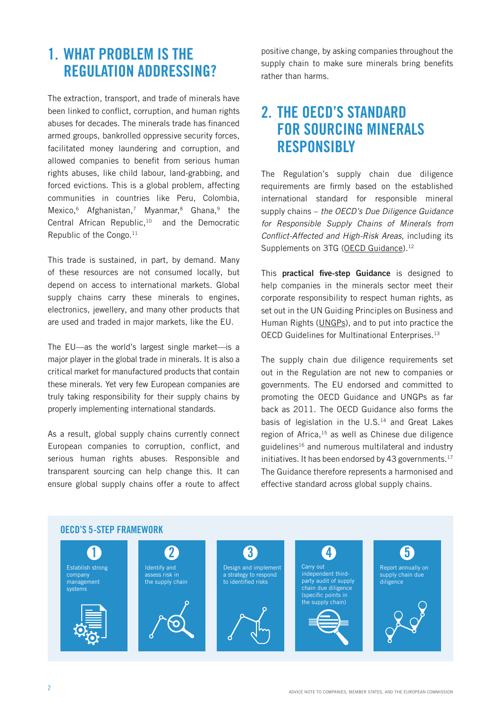## 1. WHAT PROBLEM IS THE REGULATION ADDRESSING?

The extraction, transport, and trade of minerals have been linked to conflict, corruption, and human rights abuses for decades. The minerals trade has financed armed groups, bankrolled oppressive security forces, facilitated money laundering and corruption, and allowed companies to benefit from serious human rights abuses, like child labour, land-grabbing, and forced evictions. This is a global problem, affecting communities in countries like Peru, Colombia, Mexico,<sup>6</sup> Afghanistan,<sup>7</sup> Myanmar,<sup>8</sup> Ghana,<sup>9</sup> the Central African Republic,10 and the Democratic Republic of the Congo.<sup>11</sup>

This trade is sustained, in part, by demand. Many of these resources are not consumed locally, but depend on access to international markets. Global supply chains carry these minerals to engines, electronics, jewellery, and many other products that are used and traded in major markets, like the EU.

The EU—as the world's largest single market—is a major player in the global trade in minerals. It is also a critical market for manufactured products that contain these minerals. Yet very few European companies are truly taking responsibility for their supply chains by properly implementing international standards.

As a result, global supply chains currently connect European companies to corruption, conflict, and serious human rights abuses. Responsible and transparent sourcing can help change this. It can ensure global supply chains offer a route to affect positive change, by asking companies throughout the supply chain to make sure minerals bring benefits rather than harms.

## 2. THE OECD'S STANDARD FOR SOURCING MINERALS **RESPONSIBLY**

The Regulation's supply chain due diligence requirements are firmly based on the established international standard for responsible mineral supply chains – *the OECD's Due Diligence Guidance for Responsible Supply Chains of Minerals from*  Conflict-Affected and High-Risk Areas, including its Supplements on 3TG (OECD Guidance).<sup>12</sup>

This practical five-step Guidance is designed to help companies in the minerals sector meet their corporate responsibility to respect human rights, as set out in the UN Guiding Principles on Business and Human Rights (UNGPs), and to put into practice the OECD Guidelines for Multinational Enterprises.13

The supply chain due diligence requirements set out in the Regulation are not new to companies or governments. The EU endorsed and committed to promoting the OECD Guidance and UNGPs as far back as 2011. The OECD Guidance also forms the basis of legislation in the U.S.<sup>14</sup> and Great Lakes region of Africa,15 as well as Chinese due diligence guidelines16 and numerous multilateral and industry initiatives. It has been endorsed by 43 governments.<sup>17</sup> The Guidance therefore represents a harmonised and effective standard across global supply chains.

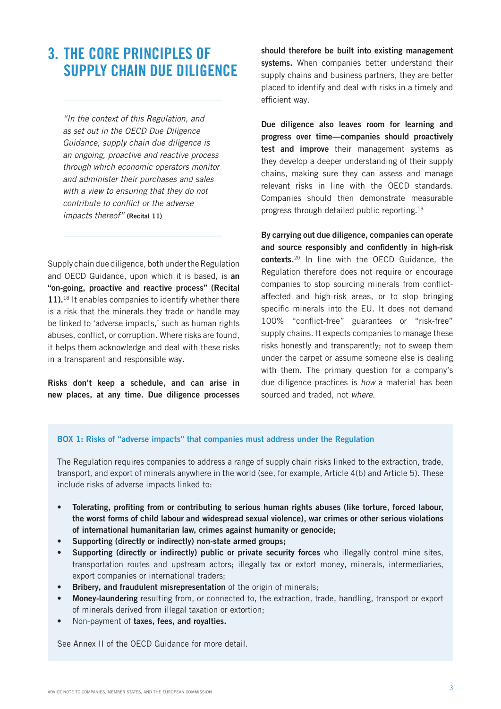## 3. THE CORE PRINCIPLES OF SUPPLY CHAIN DUE DILIGENCE

*"In the context of this Regulation, and as set out in the OECD Due Diligence Guidance, supply chain due diligence is an ongoing, proactive and reactive process through which economic operators monitor and administer their purchases and sales with a view to ensuring that they do not*  contribute to conflict or the adverse *impacts thereof"* (Recital 11)

Supply chain due diligence, both under the Regulation and OECD Guidance, upon which it is based, is an "on-going, proactive and reactive process" (Recital 11).<sup>18</sup> It enables companies to identify whether there is a risk that the minerals they trade or handle may be linked to 'adverse impacts,' such as human rights abuses, conflict, or corruption. Where risks are found, it helps them acknowledge and deal with these risks in a transparent and responsible way.

Risks don't keep a schedule, and can arise in new places, at any time. Due diligence processes

should therefore be built into existing management systems. When companies better understand their supply chains and business partners, they are better placed to identify and deal with risks in a timely and efficient way.

Due diligence also leaves room for learning and progress over time—companies should proactively test and improve their management systems as they develop a deeper understanding of their supply chains, making sure they can assess and manage relevant risks in line with the OECD standards. Companies should then demonstrate measurable progress through detailed public reporting.19

By carrying out due diligence, companies can operate and source responsibly and confidently in high-risk contexts.20 In line with the OECD Guidance, the Regulation therefore does not require or encourage companies to stop sourcing minerals from conflictaffected and high-risk areas, or to stop bringing specific minerals into the EU. It does not demand 100% "conflict-free" guarantees or "risk-free" supply chains. It expects companies to manage these risks honestly and transparently; not to sweep them under the carpet or assume someone else is dealing with them. The primary question for a company's due diligence practices is *how* a material has been sourced and traded, not *where*.

#### BOX 1: Risks of "adverse impacts" that companies must address under the Regulation

The Regulation requires companies to address a range of supply chain risks linked to the extraction, trade, transport, and export of minerals anywhere in the world (see, for example, Article 4(b) and Article 5). These include risks of adverse impacts linked to:

- Tolerating, profiting from or contributing to serious human rights abuses (like torture, forced labour, the worst forms of child labour and widespread sexual violence), war crimes or other serious violations of international humanitarian law, crimes against humanity or genocide;
- Supporting (directly or indirectly) non-state armed groups:
- Supporting (directly or indirectly) public or private security forces who illegally control mine sites, transportation routes and upstream actors; illegally tax or extort money, minerals, intermediaries, export companies or international traders;
- **Bribery, and fraudulent misrepresentation** of the origin of minerals:
- Money-laundering resulting from, or connected to, the extraction, trade, handling, transport or export of minerals derived from illegal taxation or extortion;
- Non-payment of taxes, fees, and royalties.

See Annex II of the OECD Guidance for more detail.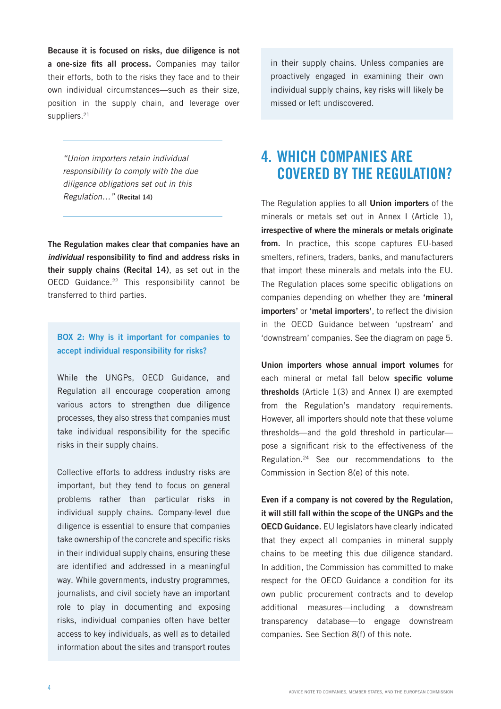Because it is focused on risks, due diligence is not a one-size fits all process. Companies may tailor their efforts, both to the risks they face and to their own individual circumstances—such as their size, position in the supply chain, and leverage over suppliers.<sup>21</sup>

*"Union importers retain individual responsibility to comply with the due diligence obligations set out in this Regulation…"* (Recital 14)

The Regulation makes clear that companies have an *individual* responsibility to find and address risks in their supply chains (Recital 14), as set out in the OECD Guidance.<sup>22</sup> This responsibility cannot be transferred to third parties.

## BOX 2: Why is it important for companies to accept individual responsibility for risks?

While the UNGPs, OECD Guidance, and Regulation all encourage cooperation among various actors to strengthen due diligence processes, they also stress that companies must take individual responsibility for the specific risks in their supply chains.

Collective efforts to address industry risks are important, but they tend to focus on general problems rather than particular risks in individual supply chains. Company-level due diligence is essential to ensure that companies take ownership of the concrete and specific risks in their individual supply chains, ensuring these are identified and addressed in a meaningful way. While governments, industry programmes, journalists, and civil society have an important role to play in documenting and exposing risks, individual companies often have better access to key individuals, as well as to detailed information about the sites and transport routes in their supply chains. Unless companies are proactively engaged in examining their own individual supply chains, key risks will likely be missed or left undiscovered.

## 4. WHICH COMPANIES ARE COVERED BY THE REGULATION?

The Regulation applies to all **Union importers** of the minerals or metals set out in Annex I (Article 1), irrespective of where the minerals or metals originate from. In practice, this scope captures EU-based smelters, refiners, traders, banks, and manufacturers that import these minerals and metals into the EU. The Regulation places some specific obligations on companies depending on whether they are 'mineral importers' or 'metal importers', to reflect the division in the OECD Guidance between 'upstream' and 'downstream' companies. See the diagram on page 5.

Union importers whose annual import volumes for each mineral or metal fall below specific volume thresholds (Article 1(3) and Annex I) are exempted from the Regulation's mandatory requirements. However, all importers should note that these volume thresholds—and the gold threshold in particular pose a significant risk to the effectiveness of the Regulation.24 See our recommendations to the Commission in Section 8(e) of this note.

Even if a company is not covered by the Regulation, it will still fall within the scope of the UNGPs and the OECD Guidance. EU legislators have clearly indicated that they expect all companies in mineral supply chains to be meeting this due diligence standard. In addition, the Commission has committed to make respect for the OECD Guidance a condition for its own public procurement contracts and to develop additional measures—including a downstream transparency database—to engage downstream companies. See Section 8(f) of this note.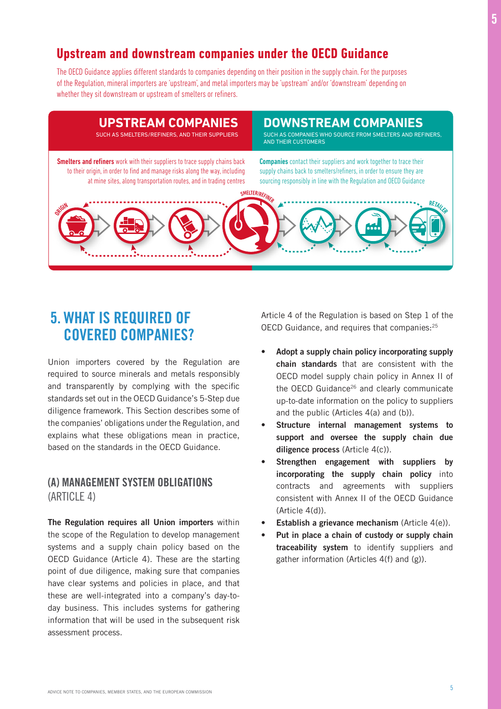## **Upstream and downstream companies under the OECD Guidance**

The OECD Guidance applies different standards to companies depending on their position in the supply chain. For the purposes of the Regulation, mineral importers are 'upstream', and metal importers may be 'upstream' and/or 'downstream' depending on whether they sit downstream or upstream of smelters or refiners.



## 5. WHAT IS REQUIRED OF COVERED COMPANIES?

Union importers covered by the Regulation are required to source minerals and metals responsibly and transparently by complying with the specific standards set out in the OECD Guidance's 5-Step due diligence framework. This Section describes some of the companies' obligations under the Regulation, and explains what these obligations mean in practice, based on the standards in the OECD Guidance.

## (A) MANAGEMENT SYSTEM OBLIGATIONS (ARTICLE 4)

The Regulation requires all Union importers within the scope of the Regulation to develop management systems and a supply chain policy based on the OECD Guidance (Article 4). These are the starting point of due diligence, making sure that companies have clear systems and policies in place, and that these are well-integrated into a company's day-today business. This includes systems for gathering information that will be used in the subsequent risk assessment process.

Article 4 of the Regulation is based on Step 1 of the OECD Guidance, and requires that companies:<sup>25</sup>

- Adopt a supply chain policy incorporating supply chain standards that are consistent with the OECD model supply chain policy in Annex II of the OECD Guidance<sup>26</sup> and clearly communicate up-to-date information on the policy to suppliers and the public (Articles 4(a) and (b)).
- Structure internal management systems to support and oversee the supply chain due diligence process (Article 4(c)).
- Strengthen engagement with suppliers by incorporating the supply chain policy into contracts and agreements with suppliers consistent with Annex II of the OECD Guidance (Article 4(d)).
- Establish a grievance mechanism (Article  $4(e)$ ).
- Put in place a chain of custody or supply chain traceability system to identify suppliers and gather information (Articles 4(f) and (g)).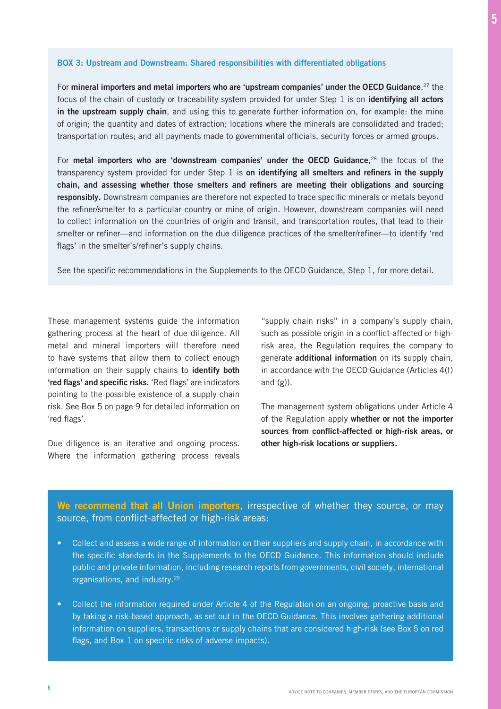#### BOX 3: Upstream and Downstream: Shared responsibilities with differentiated obligations

For mineral importers and metal importers who are 'upstream companies' under the OECD Guidance,  $^{27}$  the focus of the chain of custody or traceability system provided for under Step 1 is on identifying all actors in the upstream supply chain, and using this to generate further information on, for example: the mine of origin; the quantity and dates of extraction; locations where the minerals are consolidated and traded; transportation routes; and all payments made to governmental officials, security forces or armed groups.

For metal importers who are 'downstream companies' under the OECD Guidance, $^{28}$  the focus of the transparency system provided for under Step 1 is on identifying all smelters and refiners in the supply chain, and assessing whether those smelters and refiners are meeting their obligations and sourcing responsibly. Downstream companies are therefore not expected to trace specific minerals or metals beyond the refiner/smelter to a particular country or mine of origin. However, downstream companies will need to collect information on the countries of origin and transit, and transportation routes, that lead to their smelter or refiner—and information on the due diligence practices of the smelter/refiner—to identify 'red flags' in the smelter's/refiner's supply chains.

See the specific recommendations in the Supplements to the OECD Guidance, Step 1, for more detail.

These management systems guide the information gathering process at the heart of due diligence. All metal and mineral importers will therefore need to have systems that allow them to collect enough information on their supply chains to identify both 'red flags' and specific risks. 'Red flags' are indicators pointing to the possible existence of a supply chain risk. See Box 5 on page 9 for detailed information on 'red flags'.

Due diligence is an iterative and ongoing process. Where the information gathering process reveals

"supply chain risks" in a company's supply chain, such as possible origin in a conflict-affected or highrisk area, the Regulation requires the company to generate additional information on its supply chain, in accordance with the OECD Guidance (Articles 4(f) and  $(g)$ ).

The management system obligations under Article 4 of the Regulation apply whether or not the importer sources from conflict-affected or high-risk areas, or other high-risk locations or suppliers.

## We recommend that all Union importers, irrespective of whether they source, or may source, from conflict-affected or high-risk areas:

- Collect and assess a wide range of information on their suppliers and supply chain, in accordance with the specific standards in the Supplements to the OECD Guidance. This information should include public and private information, including research reports from governments, civil society, international organisations, and industry.29
- Collect the information required under Article 4 of the Regulation on an ongoing, proactive basis and by taking a risk-based approach, as set out in the OECD Guidance. This involves gathering additional information on suppliers, transactions or supply chains that are considered high-risk (see Box 5 on red flags, and Box 1 on specific risks of adverse impacts).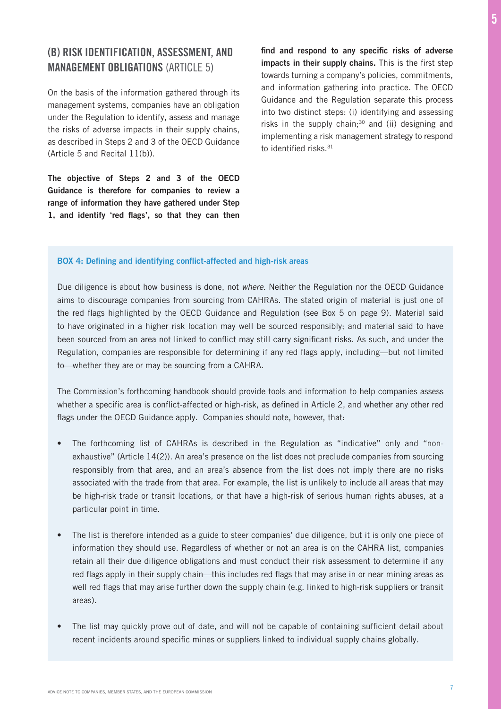## (B) RISK IDENTIFICATION, ASSESSMENT, AND MANAGEMENT OBLIGATIONS (ARTICLE 5)

On the basis of the information gathered through its management systems, companies have an obligation under the Regulation to identify, assess and manage the risks of adverse impacts in their supply chains, as described in Steps 2 and 3 of the OECD Guidance (Article 5 and Recital 11(b)).

The objective of Steps 2 and 3 of the OECD Guidance is therefore for companies to review a range of information they have gathered under Step 1, and identify 'red flags', so that they can then find and respond to any specific risks of adverse impacts in their supply chains. This is the first step towards turning a company's policies, commitments, and information gathering into practice. The OECD Guidance and the Regulation separate this process into two distinct steps: (i) identifying and assessing risks in the supply chain; $30$  and (ii) designing and implementing a risk management strategy to respond to identified risks.<sup>31</sup>

#### BOX 4: Defining and identifying conflict-affected and high-risk areas

Due diligence is about how business is done, not *where*. Neither the Regulation nor the OECD Guidance aims to discourage companies from sourcing from CAHRAs. The stated origin of material is just one of the red flags highlighted by the OECD Guidance and Regulation (see Box 5 on page 9). Material said to have originated in a higher risk location may well be sourced responsibly; and material said to have been sourced from an area not linked to conflict may still carry significant risks. As such, and under the Regulation, companies are responsible for determining if any red flags apply, including—but not limited to—whether they are or may be sourcing from a CAHRA.

The Commission's forthcoming handbook should provide tools and information to help companies assess whether a specific area is conflict-affected or high-risk, as defined in Article 2, and whether any other red flags under the OECD Guidance apply. Companies should note, however, that:

- The forthcoming list of CAHRAs is described in the Regulation as "indicative" only and "nonexhaustive" (Article 14(2)). An area's presence on the list does not preclude companies from sourcing responsibly from that area, and an area's absence from the list does not imply there are no risks associated with the trade from that area. For example, the list is unlikely to include all areas that may be high-risk trade or transit locations, or that have a high-risk of serious human rights abuses, at a particular point in time.
- The list is therefore intended as a guide to steer companies' due diligence, but it is only one piece of information they should use. Regardless of whether or not an area is on the CAHRA list, companies retain all their due diligence obligations and must conduct their risk assessment to determine if any red flags apply in their supply chain—this includes red flags that may arise in or near mining areas as well red flags that may arise further down the supply chain (e.g. linked to high-risk suppliers or transit areas).
- The list may quickly prove out of date, and will not be capable of containing sufficient detail about recent incidents around specific mines or suppliers linked to individual supply chains globally.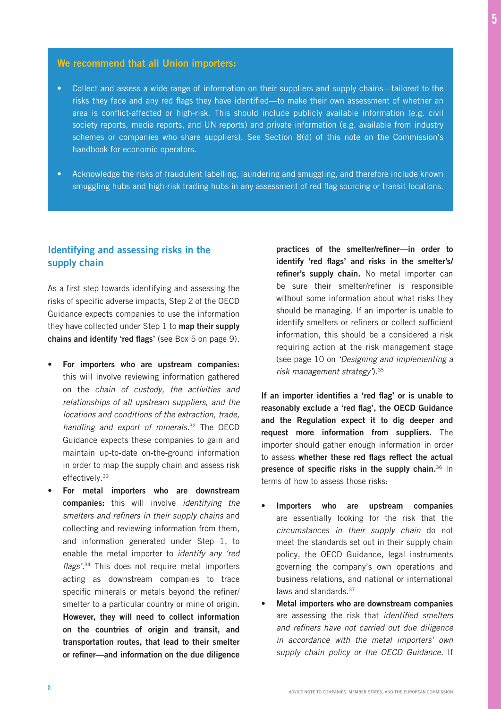## We recommend that all Union importers:

- Collect and assess a wide range of information on their suppliers and supply chains—tailored to the risks they face and any red flags they have identified—to make their own assessment of whether an area is conflict-affected or high-risk. This should include publicly available information (e.g. civil society reports, media reports, and UN reports) and private information (e.g. available from industry schemes or companies who share suppliers). See Section 8(d) of this note on the Commission's handbook for economic operators.
- Acknowledge the risks of fraudulent labelling, laundering and smuggling, and therefore include known smuggling hubs and high-risk trading hubs in any assessment of red flag sourcing or transit locations.

## Identifying and assessing risks in the supply chain

As a first step towards identifying and assessing the risks of specific adverse impacts, Step 2 of the OECD Guidance expects companies to use the information they have collected under Step 1 to map their supply chains and identify 'red flags' (see Box 5 on page 9).

- For importers who are upstream companies: this will involve reviewing information gathered on the *chain of custody, the activities and relationships of all upstream suppliers, and the locations and conditions of the extraction, trade, handling and export of minerals.*32 The OECD Guidance expects these companies to gain and maintain up-to-date on-the-ground information in order to map the supply chain and assess risk effectively.<sup>33</sup>
- For metal importers who are downstream companies: this will involve *identifying the*  smelters and refiners in their supply chains and collecting and reviewing information from them, and information generated under Step 1, to enable the metal importer to *identify any 'red*  flags'.<sup>34</sup> This does not require metal importers acting as downstream companies to trace specific minerals or metals beyond the refiner/ smelter to a particular country or mine of origin. However, they will need to collect information on the countries of origin and transit, and transportation routes, that lead to their smelter or refiner—and information on the due diligence

practices of the smelter/refiner—in order to identify 'red flags' and risks in the smelter's/ refiner's supply chain. No metal importer can be sure their smelter/refiner is responsible without some information about what risks they should be managing. If an importer is unable to identify smelters or refiners or collect sufficient information, this should be a considered a risk requiring action at the risk management stage (see page 10 on *'Designing and implementing a*  risk management strategy').<sup>35</sup>

If an importer identifies a 'red flag' or is unable to reasonably exclude a 'red flag', the OECD Guidance and the Regulation expect it to dig deeper and request more information from suppliers. The importer should gather enough information in order to assess whether these red flags reflect the actual presence of specific risks in the supply chain. $36 \text{ In}$ terms of how to assess those risks:

- Importers who are upstream companies are essentially looking for the risk that the *circumstances in their supply chain* do not meet the standards set out in their supply chain policy, the OECD Guidance, legal instruments governing the company's own operations and business relations, and national or international laws and standards.37
- Metal importers who are downstream companies are assessing the risk that identified smelters and refiners have not carried out due diligence *in accordance with the metal importers' own supply chain policy or the OECD Guidance.* If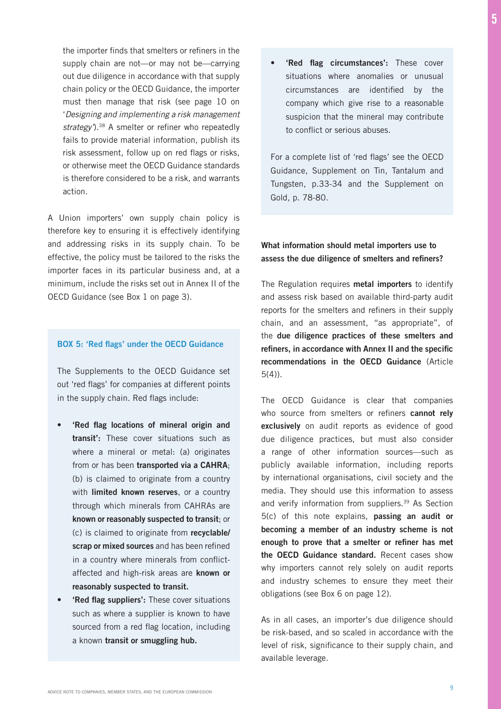the importer finds that smelters or refiners in the supply chain are not—or may not be—carrying out due diligence in accordance with that supply chain policy or the OECD Guidance, the importer must then manage that risk (see page 10 on 'Designing and implementing a risk management *strategy'*).38 A smelter or refiner who repeatedly fails to provide material information, publish its risk assessment, follow up on red flags or risks, or otherwise meet the OECD Guidance standards is therefore considered to be a risk, and warrants action.

A Union importers' own supply chain policy is therefore key to ensuring it is effectively identifying and addressing risks in its supply chain. To be effective, the policy must be tailored to the risks the importer faces in its particular business and, at a minimum, include the risks set out in Annex II of the OECD Guidance (see Box 1 on page 3).

#### BOX 5: 'Red flags' under the OECD Guidance

The Supplements to the OECD Guidance set out 'red flags' for companies at different points in the supply chain. Red flags include:

- 'Red flag locations of mineral origin and transit': These cover situations such as where a mineral or metal: (a) originates from or has been transported via a CAHRA; (b) is claimed to originate from a country with limited known reserves, or a country through which minerals from CAHRAs are known or reasonably suspected to transit; or (c) is claimed to originate from recyclable/ scrap or mixed sources and has been refined in a country where minerals from conflictaffected and high-risk areas are known or reasonably suspected to transit.
- 'Red flag suppliers': These cover situations such as where a supplier is known to have sourced from a red flag location, including a known transit or smuggling hub.

• 'Red flag circumstances': These cover situations where anomalies or unusual circumstances are identified by the company which give rise to a reasonable suspicion that the mineral may contribute to conflict or serious abuses.

For a complete list of 'red flags' see the OECD Guidance, Supplement on Tin, Tantalum and Tungsten, p.33-34 and the Supplement on Gold, p. 78-80.

#### What information should metal importers use to assess the due diligence of smelters and refiners?

The Regulation requires **metal importers** to identify and assess risk based on available third-party audit reports for the smelters and refiners in their supply chain, and an assessment, "as appropriate", of the due diligence practices of these smelters and refiners, in accordance with Annex II and the specific recommendations in the OECD Guidance (Article 5(4)).

The OECD Guidance is clear that companies who source from smelters or refiners cannot rely exclusively on audit reports as evidence of good due diligence practices, but must also consider a range of other information sources—such as publicly available information, including reports by international organisations, civil society and the media. They should use this information to assess and verify information from suppliers.<sup>39</sup> As Section 5(c) of this note explains, passing an audit or becoming a member of an industry scheme is not enough to prove that a smelter or refiner has met the OECD Guidance standard. Recent cases show why importers cannot rely solely on audit reports and industry schemes to ensure they meet their obligations (see Box 6 on page 12).

As in all cases, an importer's due diligence should be risk-based, and so scaled in accordance with the level of risk, significance to their supply chain, and available leverage.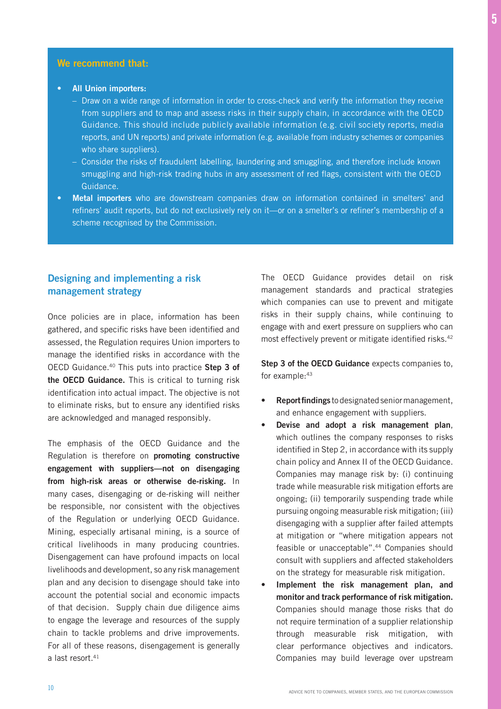#### We recommend that:

- All Union importers:
	- Draw on a wide range of information in order to cross-check and verify the information they receive from suppliers and to map and assess risks in their supply chain, in accordance with the OECD Guidance. This should include publicly available information (e.g. civil society reports, media reports, and UN reports) and private information (e.g. available from industry schemes or companies who share suppliers).
	- Consider the risks of fraudulent labelling, laundering and smuggling, and therefore include known smuggling and high-risk trading hubs in any assessment of red flags, consistent with the OECD Guidance.
- Metal importers who are downstream companies draw on information contained in smelters' and refiners' audit reports, but do not exclusively rely on it—or on a smelter's or refiner's membership of a scheme recognised by the Commission.

## Designing and implementing a risk management strategy

Once policies are in place, information has been gathered, and specific risks have been identified and assessed, the Regulation requires Union importers to manage the identified risks in accordance with the OECD Guidance.40 This puts into practice Step 3 of the OECD Guidance. This is critical to turning risk identification into actual impact. The objective is not to eliminate risks, but to ensure any identified risks are acknowledged and managed responsibly.

The emphasis of the OECD Guidance and the Regulation is therefore on promoting constructive engagement with suppliers—not on disengaging from high-risk areas or otherwise de-risking. In many cases, disengaging or de-risking will neither be responsible, nor consistent with the objectives of the Regulation or underlying OECD Guidance. Mining, especially artisanal mining, is a source of critical livelihoods in many producing countries. Disengagement can have profound impacts on local livelihoods and development, so any risk management plan and any decision to disengage should take into account the potential social and economic impacts of that decision. Supply chain due diligence aims to engage the leverage and resources of the supply chain to tackle problems and drive improvements. For all of these reasons, disengagement is generally a last resort.<sup>41</sup>

The OECD Guidance provides detail on risk management standards and practical strategies which companies can use to prevent and mitigate risks in their supply chains, while continuing to engage with and exert pressure on suppliers who can most effectively prevent or mitigate identified risks.<sup>42</sup>

Step 3 of the OECD Guidance expects companies to, for example: 43

- Report findings to designated senior management, and enhance engagement with suppliers.
- Devise and adopt a risk management plan, which outlines the company responses to risks identified in Step 2, in accordance with its supply chain policy and Annex II of the OECD Guidance. Companies may manage risk by: (i) continuing trade while measurable risk mitigation efforts are ongoing; (ii) temporarily suspending trade while pursuing ongoing measurable risk mitigation; (iii) disengaging with a supplier after failed attempts at mitigation or "where mitigation appears not feasible or unacceptable".<sup>44</sup> Companies should consult with suppliers and affected stakeholders on the strategy for measurable risk mitigation.
- Implement the risk management plan, and monitor and track performance of risk mitigation. Companies should manage those risks that do not require termination of a supplier relationship through measurable risk mitigation, with clear performance objectives and indicators. Companies may build leverage over upstream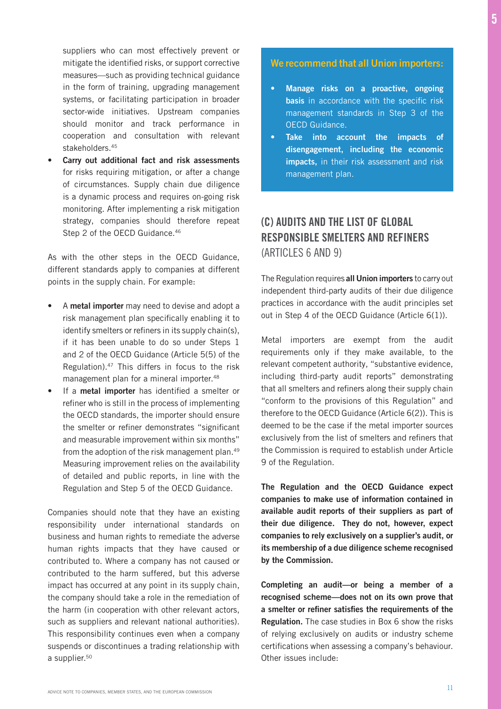suppliers who can most effectively prevent or mitigate the identified risks, or support corrective measures—such as providing technical guidance in the form of training, upgrading management systems, or facilitating participation in broader sector-wide initiatives. Upstream companies should monitor and track performance in cooperation and consultation with relevant stakeholders.<sup>45</sup>

Carry out additional fact and risk assessments for risks requiring mitigation, or after a change of circumstances. Supply chain due diligence is a dynamic process and requires on-going risk monitoring. After implementing a risk mitigation strategy, companies should therefore repeat Step 2 of the OECD Guidance.<sup>46</sup>

As with the other steps in the OECD Guidance, different standards apply to companies at different points in the supply chain. For example:

- A metal importer may need to devise and adopt a risk management plan specifically enabling it to identify smelters or refiners in its supply chain(s), if it has been unable to do so under Steps 1 and 2 of the OECD Guidance (Article 5(5) of the Regulation).47 This differs in focus to the risk management plan for a mineral importer.<sup>48</sup>
- If a metal importer has identified a smelter or refiner who is still in the process of implementing the OECD standards, the importer should ensure the smelter or refiner demonstrates "significant and measurable improvement within six months" from the adoption of the risk management plan.<sup>49</sup> Measuring improvement relies on the availability of detailed and public reports, in line with the Regulation and Step 5 of the OECD Guidance.

Companies should note that they have an existing responsibility under international standards on business and human rights to remediate the adverse human rights impacts that they have caused or contributed to. Where a company has not caused or contributed to the harm suffered, but this adverse impact has occurred at any point in its supply chain, the company should take a role in the remediation of the harm (in cooperation with other relevant actors, such as suppliers and relevant national authorities). This responsibility continues even when a company suspends or discontinues a trading relationship with a supplier.<sup>50</sup>

## We recommend that all Union importers:

- Manage risks on a proactive, ongoing basis in accordance with the specific risk management standards in Step 3 of the OECD Guidance.
- Take into account the impacts of disengagement, including the economic impacts, in their risk assessment and risk management plan.

## (C) AUDITS AND THE LIST OF GLOBAL RESPONSIBLE SMELTERS AND REFINERS (ARTICLES 6 AND 9)

The Regulation requires all Union importers to carry out independent third-party audits of their due diligence practices in accordance with the audit principles set out in Step 4 of the OECD Guidance (Article 6(1)).

Metal importers are exempt from the audit requirements only if they make available, to the relevant competent authority, "substantive evidence, including third-party audit reports" demonstrating that all smelters and refiners along their supply chain "conform to the provisions of this Regulation" and therefore to the OECD Guidance (Article 6(2)). This is deemed to be the case if the metal importer sources exclusively from the list of smelters and refiners that the Commission is required to establish under Article 9 of the Regulation.

The Regulation and the OECD Guidance expect companies to make use of information contained in available audit reports of their suppliers as part of their due diligence. They do not, however, expect companies to rely exclusively on a supplier's audit, or its membership of a due diligence scheme recognised by the Commission.

Completing an audit—or being a member of a recognised scheme—does not on its own prove that a smelter or refiner satisfies the requirements of the Regulation. The case studies in Box 6 show the risks of relying exclusively on audits or industry scheme certifications when assessing a company's behaviour. Other issues include: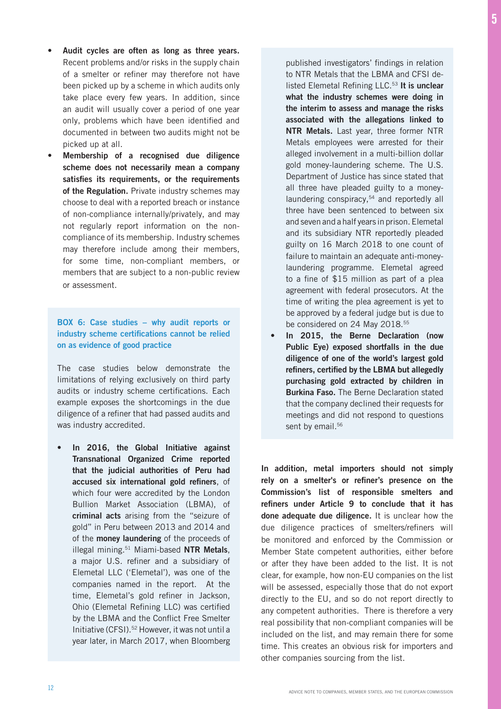- Audit cycles are often as long as three years. Recent problems and/or risks in the supply chain of a smelter or refiner may therefore not have been picked up by a scheme in which audits only take place every few years. In addition, since an audit will usually cover a period of one year only, problems which have been identified and documented in between two audits might not be picked up at all.
- Membership of a recognised due diligence scheme does not necessarily mean a company satisfies its requirements, or the requirements of the Regulation. Private industry schemes may choose to deal with a reported breach or instance of non-compliance internally/privately, and may not regularly report information on the noncompliance of its membership. Industry schemes may therefore include among their members, for some time, non-compliant members, or members that are subject to a non-public review or assessment.

#### BOX 6: Case studies – why audit reports or industry scheme certifications cannot be relied on as evidence of good practice

The case studies below demonstrate the limitations of relying exclusively on third party audits or industry scheme certifications. Each example exposes the shortcomings in the due diligence of a refiner that had passed audits and was industry accredited.

• In 2016, the Global Initiative against Transnational Organized Crime reported that the judicial authorities of Peru had accused six international gold refiners, of which four were accredited by the London Bullion Market Association (LBMA), of criminal acts arising from the "seizure of gold" in Peru between 2013 and 2014 and of the money laundering of the proceeds of illegal mining.<sup>51</sup> Miami-based NTR Metals, a major U.S. refiner and a subsidiary of Elemetal LLC ('Elemetal'), was one of the companies named in the report. At the time, Elemetal's gold refiner in Jackson, Ohio (Elemetal Refining LLC) was certified by the LBMA and the Conflict Free Smelter Initiative (CFSI).52 However, it was not until a year later, in March 2017, when Bloomberg published investigators' findings in relation to NTR Metals that the LBMA and CFSI delisted Elemetal Refining LLC.<sup>53</sup> It is unclear what the industry schemes were doing in the interim to assess and manage the risks associated with the allegations linked to NTR Metals. Last year, three former NTR Metals employees were arrested for their alleged involvement in a multi-billion dollar gold money-laundering scheme. The U.S. Department of Justice has since stated that all three have pleaded guilty to a moneylaundering conspiracy,<sup>54</sup> and reportedly all three have been sentenced to between six and seven and a half years in prison. Elemetal and its subsidiary NTR reportedly pleaded guilty on 16 March 2018 to one count of failure to maintain an adequate anti-moneylaundering programme. Elemetal agreed to a fine of \$15 million as part of a plea agreement with federal prosecutors. At the time of writing the plea agreement is yet to be approved by a federal judge but is due to be considered on 24 May 2018.<sup>55</sup>

• In 2015, the Berne Declaration (now Public Eye) exposed shortfalls in the due diligence of one of the world's largest gold refiners, certified by the LBMA but allegedly purchasing gold extracted by children in **Burkina Faso.** The Berne Declaration stated that the company declined their requests for meetings and did not respond to questions sent by email.<sup>56</sup>

In addition, metal importers should not simply rely on a smelter's or refiner's presence on the Commission's list of responsible smelters and refiners under Article 9 to conclude that it has done adequate due diligence. It is unclear how the due diligence practices of smelters/refiners will be monitored and enforced by the Commission or Member State competent authorities, either before or after they have been added to the list. It is not clear, for example, how non-EU companies on the list will be assessed, especially those that do not export directly to the EU, and so do not report directly to any competent authorities. There is therefore a very real possibility that non-compliant companies will be included on the list, and may remain there for some time. This creates an obvious risk for importers and other companies sourcing from the list.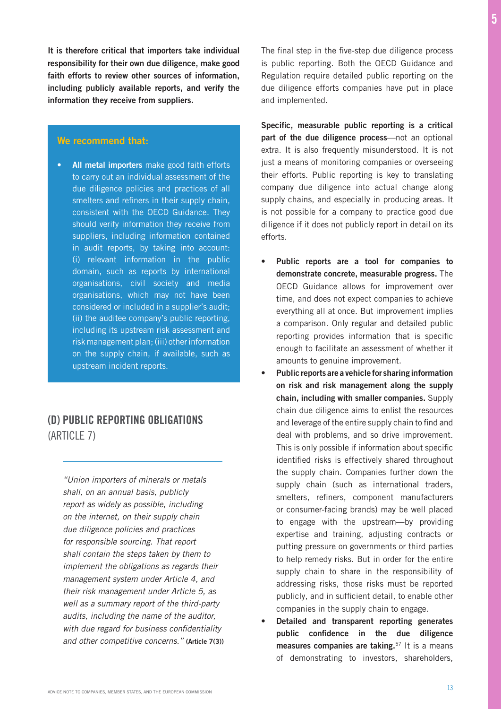It is therefore critical that importers take individual responsibility for their own due diligence, make good faith efforts to review other sources of information, including publicly available reports, and verify the information they receive from suppliers.

#### We recommend that:

All metal importers make good faith efforts to carry out an individual assessment of the due diligence policies and practices of all smelters and refiners in their supply chain, consistent with the OECD Guidance. They should verify information they receive from suppliers, including information contained in audit reports, by taking into account: (i) relevant information in the public domain, such as reports by international organisations, civil society and media organisations, which may not have been considered or included in a supplier's audit; (ii) the auditee company's public reporting, including its upstream risk assessment and risk management plan; (iii) other information on the supply chain, if available, such as upstream incident reports.

## (D) PUBLIC REPORTING OBLIGATIONS (ARTICLE 7)

*"Union importers of minerals or metals shall, on an annual basis, publicly report as widely as possible, including on the internet, on their supply chain due diligence policies and practices for responsible sourcing. That report*  shall contain the steps taken by them to *implement the obligations as regards their*  management system under Article 4, and their risk management under Article 5, as well as a summary report of the third-party *audits, including the name of the auditor,*  with due regard for business confidentiality *and other competitive concerns."* (Article 7(3)) The final step in the five-step due diligence process is public reporting. Both the OECD Guidance and Regulation require detailed public reporting on the due diligence efforts companies have put in place and implemented.

5

Specific, measurable public reporting is a critical part of the due diligence process—not an optional extra. It is also frequently misunderstood. It is not just a means of monitoring companies or overseeing their efforts. Public reporting is key to translating company due diligence into actual change along supply chains, and especially in producing areas. It is not possible for a company to practice good due diligence if it does not publicly report in detail on its efforts.

- Public reports are a tool for companies to demonstrate concrete, measurable progress. The OECD Guidance allows for improvement over time, and does not expect companies to achieve everything all at once. But improvement implies a comparison. Only regular and detailed public reporting provides information that is specific enough to facilitate an assessment of whether it amounts to genuine improvement.
- Public reports are a vehicle for sharing information on risk and risk management along the supply chain, including with smaller companies. Supply chain due diligence aims to enlist the resources and leverage of the entire supply chain to find and deal with problems, and so drive improvement. This is only possible if information about specific identified risks is effectively shared throughout the supply chain. Companies further down the supply chain (such as international traders, smelters, refiners, component manufacturers or consumer-facing brands) may be well placed to engage with the upstream—by providing expertise and training, adjusting contracts or putting pressure on governments or third parties to help remedy risks. But in order for the entire supply chain to share in the responsibility of addressing risks, those risks must be reported publicly, and in sufficient detail, to enable other companies in the supply chain to engage.
- Detailed and transparent reporting generates public confidence in the due diligence measures companies are taking.<sup>57</sup> It is a means of demonstrating to investors, shareholders,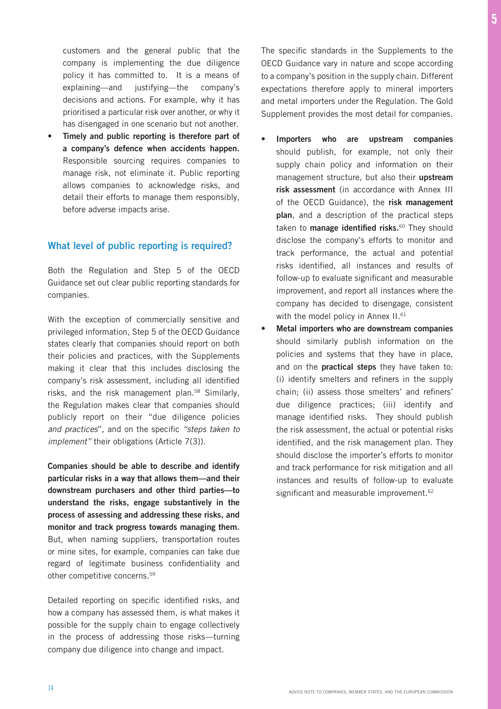customers and the general public that the company is implementing the due diligence policy it has committed to. It is a means of explaining—and justifying—the company's decisions and actions. For example, why it has prioritised a particular risk over another, or why it has disengaged in one scenario but not another.

Timely and public reporting is therefore part of a company's defence when accidents happen. Responsible sourcing requires companies to manage risk, not eliminate it. Public reporting allows companies to acknowledge risks, and detail their efforts to manage them responsibly, before adverse impacts arise.

## What level of public reporting is required?

Both the Regulation and Step 5 of the OECD Guidance set out clear public reporting standards for companies.

With the exception of commercially sensitive and privileged information, Step 5 of the OECD Guidance states clearly that companies should report on both their policies and practices, with the Supplements making it clear that this includes disclosing the company's risk assessment, including all identified risks, and the risk management plan.58 Similarly, the Regulation makes clear that companies should publicly report on their "due diligence policies *and practices*", and on the specific "steps taken to *implement"* their obligations (Article 7(3)).

Companies should be able to describe and identify particular risks in a way that allows them—and their downstream purchasers and other third parties—to understand the risks, engage substantively in the process of assessing and addressing these risks, and monitor and track progress towards managing them. But, when naming suppliers, transportation routes or mine sites, for example, companies can take due regard of legitimate business confidentiality and other competitive concerns.59

Detailed reporting on specific identified risks, and how a company has assessed them, is what makes it possible for the supply chain to engage collectively in the process of addressing those risks—turning company due diligence into change and impact.

The specific standards in the Supplements to the OECD Guidance vary in nature and scope according to a company's position in the supply chain. Different expectations therefore apply to mineral importers and metal importers under the Regulation. The Gold Supplement provides the most detail for companies.

- Importers who are upstream companies should publish, for example, not only their supply chain policy and information on their management structure, but also their upstream risk assessment (in accordance with Annex III of the OECD Guidance), the risk management plan, and a description of the practical steps taken to **manage identified risks.**<sup>60</sup> They should disclose the company's efforts to monitor and track performance, the actual and potential risks identified, all instances and results of follow-up to evaluate significant and measurable improvement, and report all instances where the company has decided to disengage, consistent with the model policy in Annex II.<sup>61</sup>
- Metal importers who are downstream companies should similarly publish information on the policies and systems that they have in place, and on the **practical steps** they have taken to: (i) identify smelters and refiners in the supply chain; (ii) assess those smelters' and refiners' due diligence practices; (iii) identify and manage identified risks. They should publish the risk assessment, the actual or potential risks identified, and the risk management plan. They should disclose the importer's efforts to monitor and track performance for risk mitigation and all instances and results of follow-up to evaluate significant and measurable improvement.<sup>62</sup>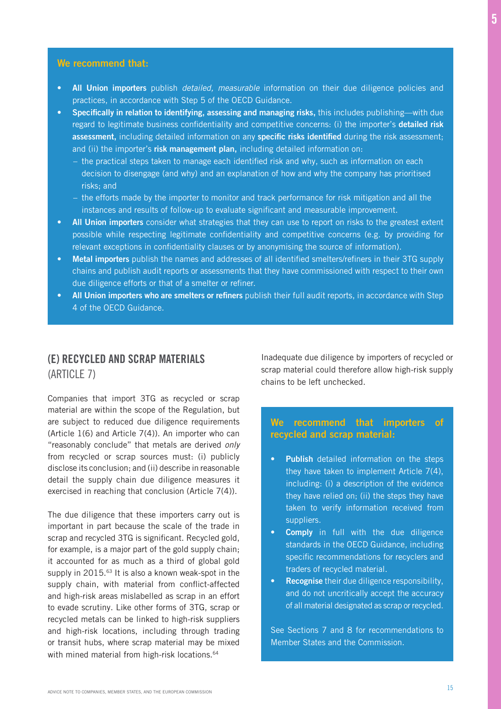#### We recommend that:

- All Union importers publish *detailed, measurable* information on their due diligence policies and practices, in accordance with Step 5 of the OECD Guidance.
- Specifically in relation to identifying, assessing and managing risks, this includes publishing—with due regard to legitimate business confidentiality and competitive concerns: (i) the importer's detailed risk assessment, including detailed information on any specific risks identified during the risk assessment; and (ii) the importer's risk management plan, including detailed information on:
	- the practical steps taken to manage each identified risk and why, such as information on each decision to disengage (and why) and an explanation of how and why the company has prioritised risks; and
	- the efforts made by the importer to monitor and track performance for risk mitigation and all the instances and results of follow-up to evaluate significant and measurable improvement.
- All Union importers consider what strategies that they can use to report on risks to the greatest extent possible while respecting legitimate confidentiality and competitive concerns (e.g. by providing for relevant exceptions in confidentiality clauses or by anonymising the source of information).
- Metal importers publish the names and addresses of all identified smelters/refiners in their 3TG supply chains and publish audit reports or assessments that they have commissioned with respect to their own due diligence efforts or that of a smelter or refiner.
- All Union importers who are smelters or refiners publish their full audit reports, in accordance with Step 4 of the OECD Guidance.

## (E) RECYCLED AND SCRAP MATERIALS (ARTICLE 7)

Companies that import 3TG as recycled or scrap material are within the scope of the Regulation, but are subject to reduced due diligence requirements (Article 1(6) and Article 7(4)). An importer who can "reasonably conclude" that metals are derived *only*  from recycled or scrap sources must: (i) publicly disclose its conclusion; and (ii) describe in reasonable detail the supply chain due diligence measures it exercised in reaching that conclusion (Article 7(4)).

The due diligence that these importers carry out is important in part because the scale of the trade in scrap and recycled 3TG is significant. Recycled gold, for example, is a major part of the gold supply chain; it accounted for as much as a third of global gold supply in 2015.<sup>63</sup> It is also a known weak-spot in the supply chain, with material from conflict-affected and high-risk areas mislabelled as scrap in an effort to evade scrutiny. Like other forms of 3TG, scrap or recycled metals can be linked to high-risk suppliers and high-risk locations, including through trading or transit hubs, where scrap material may be mixed with mined material from high-risk locations.<sup>64</sup>

Inadequate due diligence by importers of recycled or scrap material could therefore allow high-risk supply chains to be left unchecked.

## We recommend that importers of recycled and scrap material:

- **Publish** detailed information on the steps they have taken to implement Article 7(4), including: (i) a description of the evidence they have relied on; (ii) the steps they have taken to verify information received from suppliers.
- Comply in full with the due diligence standards in the OECD Guidance, including specific recommendations for recyclers and traders of recycled material.
- Recognise their due diligence responsibility, and do not uncritically accept the accuracy of all material designated as scrap or recycled.

See Sections 7 and 8 for recommendations to Member States and the Commission.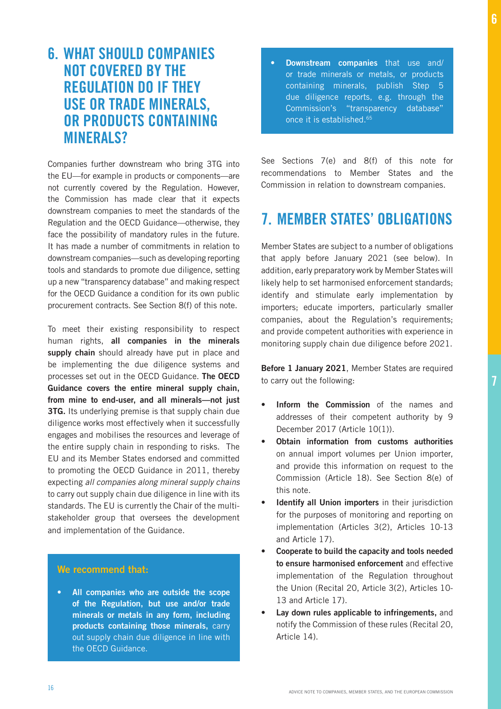7

## 6. WHAT SHOULD COMPANIES NOT COVERED BY THE REGULATION DO IF THEY USE OR TRADE MINERALS, OR PRODUCTS CONTAINING **MINERALS?**

Companies further downstream who bring 3TG into the EU—for example in products or components—are not currently covered by the Regulation. However, the Commission has made clear that it expects downstream companies to meet the standards of the Regulation and the OECD Guidance—otherwise, they face the possibility of mandatory rules in the future. It has made a number of commitments in relation to downstream companies—such as developing reporting tools and standards to promote due diligence, setting up a new "transparency database" and making respect for the OECD Guidance a condition for its own public procurement contracts. See Section 8(f) of this note.

To meet their existing responsibility to respect human rights, all companies in the minerals supply chain should already have put in place and be implementing the due diligence systems and processes set out in the OECD Guidance. The OECD Guidance covers the entire mineral supply chain, from mine to end-user, and all minerals—not just **3TG.** Its underlying premise is that supply chain due diligence works most effectively when it successfully engages and mobilises the resources and leverage of the entire supply chain in responding to risks. The EU and its Member States endorsed and committed to promoting the OECD Guidance in 2011, thereby expecting *all companies along mineral supply chains*  to carry out supply chain due diligence in line with its standards. The EU is currently the Chair of the multistakeholder group that oversees the development and implementation of the Guidance.

## We recommend that:

All companies who are outside the scope of the Regulation, but use and/or trade minerals or metals in any form, including products containing those minerals, carry out supply chain due diligence in line with the OECD Guidance.

• Downstream companies that use and/ or trade minerals or metals, or products containing minerals, publish Step 5 due diligence reports, e.g. through the Commission's "transparency database" once it is established.65

See Sections 7(e) and 8(f) of this note for recommendations to Member States and the Commission in relation to downstream companies.

## 7. MEMBER STATES' OBLIGATIONS

Member States are subject to a number of obligations that apply before January 2021 (see below). In addition, early preparatory work by Member States will likely help to set harmonised enforcement standards; identify and stimulate early implementation by importers; educate importers, particularly smaller companies, about the Regulation's requirements; and provide competent authorities with experience in monitoring supply chain due diligence before 2021.

Before 1 January 2021, Member States are required to carry out the following:

- Inform the Commission of the names and addresses of their competent authority by 9 December 2017 (Article 10(1)).
- Obtain information from customs authorities on annual import volumes per Union importer, and provide this information on request to the Commission (Article 18). See Section 8(e) of this note.
- Identify all Union importers in their jurisdiction for the purposes of monitoring and reporting on implementation (Articles 3(2), Articles 10-13 and Article 17).
- Cooperate to build the capacity and tools needed to ensure harmonised enforcement and effective implementation of the Regulation throughout the Union (Recital 20, Article 3(2), Articles 10- 13 and Article 17).
- Lay down rules applicable to infringements, and notify the Commission of these rules (Recital 20, Article 14).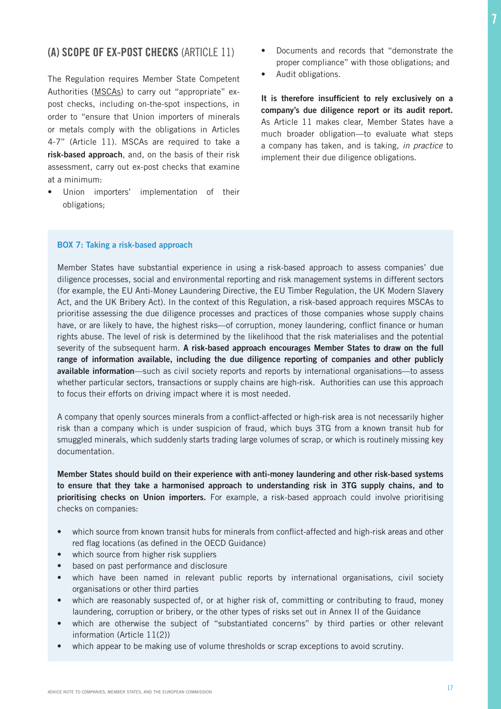## (A) SCOPE OF EX-POST CHECKS (ARTICLE 11)

The Regulation requires Member State Competent Authorities (MSCAs) to carry out "appropriate" expost checks, including on-the-spot inspections, in order to "ensure that Union importers of minerals or metals comply with the obligations in Articles 4-7" (Article 11). MSCAs are required to take a risk-based approach, and, on the basis of their risk assessment, carry out ex-post checks that examine at a minimum:

• Union importers' implementation of their obligations;

- Documents and records that "demonstrate the proper compliance" with those obligations; and
- Audit obligations.

It is therefore insufficient to rely exclusively on a company's due diligence report or its audit report. As Article 11 makes clear, Member States have a much broader obligation—to evaluate what steps a company has taken, and is taking, *in practice* to implement their due diligence obligations.

#### BOX 7: Taking a risk-based approach

Member States have substantial experience in using a risk-based approach to assess companies' due diligence processes, social and environmental reporting and risk management systems in different sectors (for example, the EU Anti-Money Laundering Directive, the EU Timber Regulation, the UK Modern Slavery Act, and the UK Bribery Act). In the context of this Regulation, a risk-based approach requires MSCAs to prioritise assessing the due diligence processes and practices of those companies whose supply chains have, or are likely to have, the highest risks—of corruption, money laundering, conflict finance or human rights abuse. The level of risk is determined by the likelihood that the risk materialises and the potential severity of the subsequent harm. A risk-based approach encourages Member States to draw on the full range of information available, including the due diligence reporting of companies and other publicly available information—such as civil society reports and reports by international organisations—to assess whether particular sectors, transactions or supply chains are high-risk. Authorities can use this approach to focus their efforts on driving impact where it is most needed.

A company that openly sources minerals from a conflict-affected or high-risk area is not necessarily higher risk than a company which is under suspicion of fraud, which buys 3TG from a known transit hub for smuggled minerals, which suddenly starts trading large volumes of scrap, or which is routinely missing key documentation.

Member States should build on their experience with anti-money laundering and other risk-based systems to ensure that they take a harmonised approach to understanding risk in 3TG supply chains, and to prioritising checks on Union importers. For example, a risk-based approach could involve prioritising checks on companies:

- which source from known transit hubs for minerals from conflict-affected and high-risk areas and other red flag locations (as defined in the OECD Guidance)
- which source from higher risk suppliers
- based on past performance and disclosure
- which have been named in relevant public reports by international organisations, civil society organisations or other third parties
- which are reasonably suspected of, or at higher risk of, committing or contributing to fraud, money laundering, corruption or bribery, or the other types of risks set out in Annex II of the Guidance
- which are otherwise the subject of "substantiated concerns" by third parties or other relevant information (Article 11(2))
- which appear to be making use of volume thresholds or scrap exceptions to avoid scrutiny.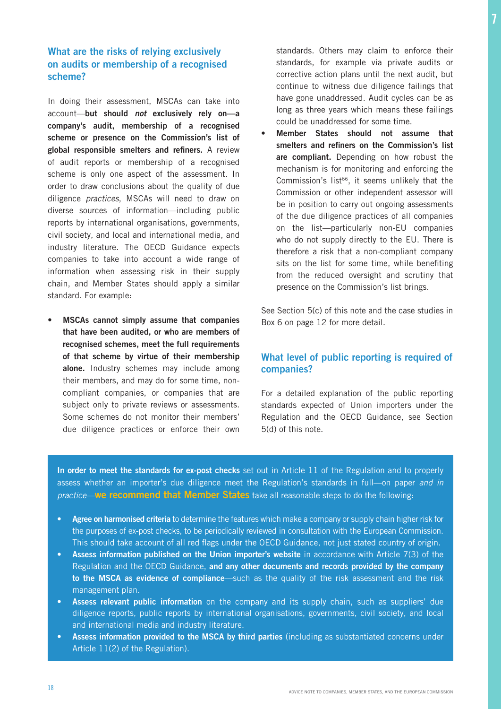## What are the risks of relying exclusively on audits or membership of a recognised scheme?

In doing their assessment, MSCAs can take into account—but should *not* exclusively rely on—a company's audit, membership of a recognised scheme or presence on the Commission's list of global responsible smelters and refiners. A review of audit reports or membership of a recognised scheme is only one aspect of the assessment. In order to draw conclusions about the quality of due diligence *practices*, MSCAs will need to draw on diverse sources of information—including public reports by international organisations, governments, civil society, and local and international media, and industry literature. The OECD Guidance expects companies to take into account a wide range of information when assessing risk in their supply chain, and Member States should apply a similar standard. For example:

• MSCAs cannot simply assume that companies that have been audited, or who are members of recognised schemes, meet the full requirements of that scheme by virtue of their membership alone. Industry schemes may include among their members, and may do for some time, noncompliant companies, or companies that are subject only to private reviews or assessments. Some schemes do not monitor their members' due diligence practices or enforce their own standards. Others may claim to enforce their standards, for example via private audits or corrective action plans until the next audit, but continue to witness due diligence failings that have gone unaddressed. Audit cycles can be as long as three years which means these failings could be unaddressed for some time.

Member States should not assume that smelters and refiners on the Commission's list are compliant. Depending on how robust the mechanism is for monitoring and enforcing the Commission's list<sup>66</sup>, it seems unlikely that the Commission or other independent assessor will be in position to carry out ongoing assessments of the due diligence practices of all companies on the list—particularly non-EU companies who do not supply directly to the EU. There is therefore a risk that a non-compliant company sits on the list for some time, while benefiting from the reduced oversight and scrutiny that presence on the Commission's list brings.

See Section 5(c) of this note and the case studies in Box 6 on page 12 for more detail.

## What level of public reporting is required of companies?

For a detailed explanation of the public reporting standards expected of Union importers under the Regulation and the OECD Guidance, see Section 5(d) of this note.

In order to meet the standards for ex-post checks set out in Article 11 of the Regulation and to properly assess whether an importer's due diligence meet the Regulation's standards in full—on paper *and in practice*—we recommend that Member States take all reasonable steps to do the following:

- Agree on harmonised criteria to determine the features which make a company or supply chain higher risk for the purposes of ex-post checks, to be periodically reviewed in consultation with the European Commission. This should take account of all red flags under the OECD Guidance, not just stated country of origin.
- Assess information published on the Union importer's website in accordance with Article 7(3) of the Regulation and the OECD Guidance, and any other documents and records provided by the company to the MSCA as evidence of compliance—such as the quality of the risk assessment and the risk management plan.
- Assess relevant public information on the company and its supply chain, such as suppliers' due diligence reports, public reports by international organisations, governments, civil society, and local and international media and industry literature.
- Assess information provided to the MSCA by third parties (including as substantiated concerns under Article 11(2) of the Regulation).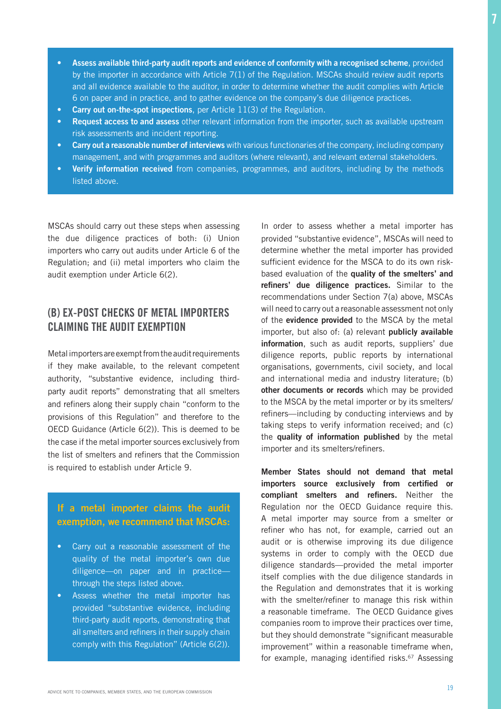- Assess available third-party audit reports and evidence of conformity with a recognised scheme, provided by the importer in accordance with Article 7(1) of the Regulation. MSCAs should review audit reports and all evidence available to the auditor, in order to determine whether the audit complies with Article 6 on paper and in practice, and to gather evidence on the company's due diligence practices.
- Carry out on-the-spot inspections, per Article 11(3) of the Regulation.
- Request access to and assess other relevant information from the importer, such as available upstream risk assessments and incident reporting.
- Carry out a reasonable number of interviews with various functionaries of the company, including company management, and with programmes and auditors (where relevant), and relevant external stakeholders.
- Verify information received from companies, programmes, and auditors, including by the methods listed above.

MSCAs should carry out these steps when assessing the due diligence practices of both: (i) Union importers who carry out audits under Article 6 of the Regulation; and (ii) metal importers who claim the audit exemption under Article 6(2).

## (B) EX-POST CHECKS OF METAL IMPORTERS CLAIMING THE AUDIT EXEMPTION

Metal importers are exempt from the audit requirements if they make available, to the relevant competent authority, "substantive evidence, including thirdparty audit reports" demonstrating that all smelters and refiners along their supply chain "conform to the provisions of this Regulation" and therefore to the OECD Guidance (Article 6(2)). This is deemed to be the case if the metal importer sources exclusively from the list of smelters and refiners that the Commission is required to establish under Article 9.

## If a metal importer claims the audit exemption, we recommend that MSCAs:

- Carry out a reasonable assessment of the quality of the metal importer's own due diligence—on paper and in practice through the steps listed above.
- Assess whether the metal importer has provided "substantive evidence, including third-party audit reports, demonstrating that all smelters and refiners in their supply chain comply with this Regulation" (Article 6(2)).

In order to assess whether a metal importer has provided "substantive evidence", MSCAs will need to determine whether the metal importer has provided sufficient evidence for the MSCA to do its own riskbased evaluation of the quality of the smelters' and refiners' due diligence practices. Similar to the recommendations under Section 7(a) above, MSCAs will need to carry out a reasonable assessment not only of the **evidence provided** to the MSCA by the metal importer, but also of: (a) relevant publicly available information, such as audit reports, suppliers' due diligence reports, public reports by international organisations, governments, civil society, and local and international media and industry literature; (b) other documents or records which may be provided to the MSCA by the metal importer or by its smelters/ refiners—including by conducting interviews and by taking steps to verify information received; and (c) the quality of information published by the metal importer and its smelters/refiners.

Member States should not demand that metal importers source exclusively from certified or compliant smelters and refiners. Neither the Regulation nor the OECD Guidance require this. A metal importer may source from a smelter or refiner who has not, for example, carried out an audit or is otherwise improving its due diligence systems in order to comply with the OECD due diligence standards—provided the metal importer itself complies with the due diligence standards in the Regulation and demonstrates that it is working with the smelter/refiner to manage this risk within a reasonable timeframe. The OECD Guidance gives companies room to improve their practices over time, but they should demonstrate "significant measurable improvement" within a reasonable timeframe when, for example, managing identified risks.<sup>67</sup> Assessing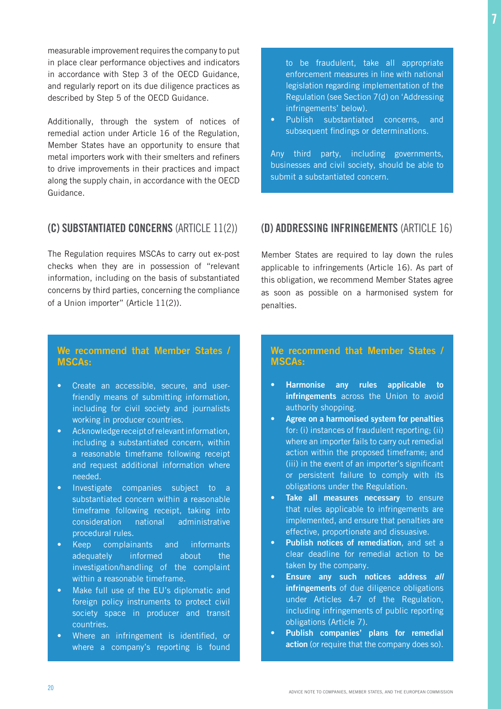measurable improvement requires the company to put in place clear performance objectives and indicators in accordance with Step 3 of the OECD Guidance, and regularly report on its due diligence practices as described by Step 5 of the OECD Guidance.

Additionally, through the system of notices of remedial action under Article 16 of the Regulation, Member States have an opportunity to ensure that metal importers work with their smelters and refiners to drive improvements in their practices and impact along the supply chain, in accordance with the OECD Guidance.

## (C) SUBSTANTIATED CONCERNS (ARTICLE 11(2))

The Regulation requires MSCAs to carry out ex-post checks when they are in possession of "relevant information, including on the basis of substantiated concerns by third parties, concerning the compliance of a Union importer" (Article 11(2)).

## We recommend that Member States / MSCAs:

- Create an accessible, secure, and userfriendly means of submitting information, including for civil society and journalists working in producer countries.
- Acknowledge receipt of relevant information, including a substantiated concern, within a reasonable timeframe following receipt and request additional information where needed.
- Investigate companies subject to a substantiated concern within a reasonable timeframe following receipt, taking into consideration national administrative procedural rules.
- Keep complainants and informants adequately informed about the investigation/handling of the complaint within a reasonable timeframe.
- Make full use of the EU's diplomatic and foreign policy instruments to protect civil society space in producer and transit countries.
- Where an infringement is identified, or where a company's reporting is found

to be fraudulent, take all appropriate enforcement measures in line with national legislation regarding implementation of the Regulation (see Section 7(d) on 'Addressing infringements' below).

• Publish substantiated concerns, and subsequent findings or determinations.

Any third party, including governments, businesses and civil society, should be able to submit a substantiated concern.

## (D) ADDRESSING INFRINGEMENTS (ARTICLE 16)

Member States are required to lay down the rules applicable to infringements (Article 16). As part of this obligation, we recommend Member States agree as soon as possible on a harmonised system for penalties.

## We recommend that Member States / MSCAs:

- Harmonise any rules applicable to infringements across the Union to avoid authority shopping.
- Agree on a harmonised system for penalties for: (i) instances of fraudulent reporting; (ii) where an importer fails to carry out remedial action within the proposed timeframe; and (iii) in the event of an importer's significant or persistent failure to comply with its obligations under the Regulation.
- Take all measures necessary to ensure that rules applicable to infringements are implemented, and ensure that penalties are effective, proportionate and dissuasive.
- Publish notices of remediation, and set a clear deadline for remedial action to be taken by the company.
- Ensure any such notices address *all* infringements of due diligence obligations under Articles 4-7 of the Regulation, including infringements of public reporting obligations (Article 7).
- Publish companies' plans for remedial action (or require that the company does so).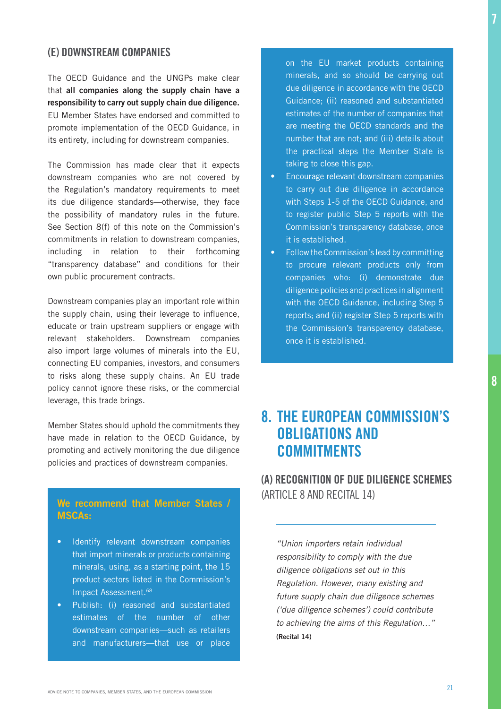## (E) DOWNSTREAM COMPANIES

The OECD Guidance and the UNGPs make clear that all companies along the supply chain have a responsibility to carry out supply chain due diligence. EU Member States have endorsed and committed to promote implementation of the OECD Guidance, in its entirety, including for downstream companies.

The Commission has made clear that it expects downstream companies who are not covered by the Regulation's mandatory requirements to meet its due diligence standards—otherwise, they face the possibility of mandatory rules in the future. See Section 8(f) of this note on the Commission's commitments in relation to downstream companies, including in relation to their forthcoming "transparency database" and conditions for their own public procurement contracts.

Downstream companies play an important role within the supply chain, using their leverage to influence, educate or train upstream suppliers or engage with relevant stakeholders. Downstream companies also import large volumes of minerals into the EU, connecting EU companies, investors, and consumers to risks along these supply chains. An EU trade policy cannot ignore these risks, or the commercial leverage, this trade brings.

Member States should uphold the commitments they have made in relation to the OECD Guidance, by promoting and actively monitoring the due diligence policies and practices of downstream companies.

## We recommend that Member States / MSCAs:

- Identify relevant downstream companies that import minerals or products containing minerals, using, as a starting point, the 15 product sectors listed in the Commission's Impact Assessment.68
- Publish: (i) reasoned and substantiated estimates of the number of other downstream companies—such as retailers and manufacturers—that use or place

on the EU market products containing minerals, and so should be carrying out due diligence in accordance with the OECD Guidance; (ii) reasoned and substantiated estimates of the number of companies that are meeting the OECD standards and the number that are not; and (iii) details about the practical steps the Member State is taking to close this gap.

- Encourage relevant downstream companies to carry out due diligence in accordance with Steps 1-5 of the OECD Guidance, and to register public Step 5 reports with the Commission's transparency database, once it is established.
- Follow the Commission's lead by committing to procure relevant products only from companies who: (i) demonstrate due diligence policies and practices in alignment with the OECD Guidance, including Step 5 reports; and (ii) register Step 5 reports with the Commission's transparency database, once it is established.

## 8. THE EUROPEAN COMMISSION'S OBLIGATIONS AND **COMMITMENTS**

(A) RECOGNITION OF DUE DILIGENCE SCHEMES (ARTICLE 8 AND RECITAL 14)

*"Union importers retain individual responsibility to comply with the due diligence obligations set out in this*  Regulation. However, many existing and *future supply chain due diligence schemes ('due diligence schemes') could contribute to achieving the aims of this Regulation…"*  (Recital 14)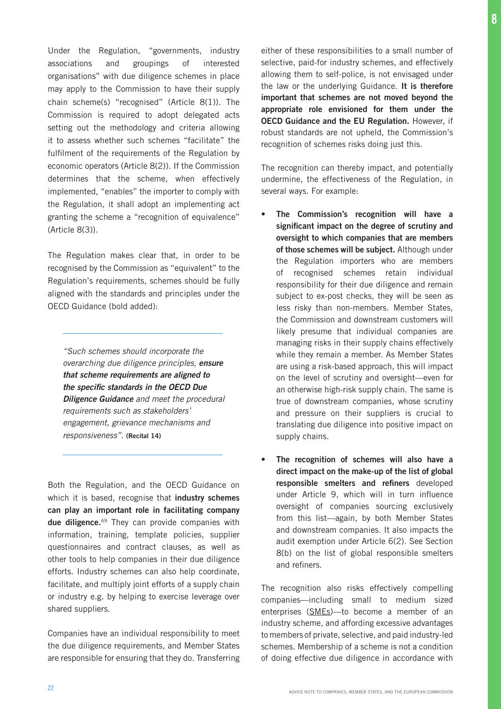Under the Regulation, "governments, industry associations and groupings of interested organisations" with due diligence schemes in place may apply to the Commission to have their supply chain scheme(s) "recognised" (Article 8(1)). The Commission is required to adopt delegated acts setting out the methodology and criteria allowing it to assess whether such schemes "facilitate" the fulfilment of the requirements of the Regulation by economic operators (Article 8(2)). If the Commission determines that the scheme, when effectively implemented, "enables" the importer to comply with the Regulation, it shall adopt an implementing act granting the scheme a "recognition of equivalence" (Article 8(3)).

The Regulation makes clear that, in order to be recognised by the Commission as "equivalent" to the Regulation's requirements, schemes should be fully aligned with the standards and principles under the OECD Guidance (bold added):

*"Such schemes should incorporate the overarching due diligence principles, ensure that scheme requirements are aligned to*  the specific standards in the OECD Due Diligence Guidance *and meet the procedural*  requirements such as stakeholders' *engagement, grievance mechanisms and responsiveness".* (Recital 14)

Both the Regulation, and the OECD Guidance on which it is based, recognise that industry schemes can play an important role in facilitating company due diligence.<sup>69</sup> They can provide companies with information, training, template policies, supplier questionnaires and contract clauses, as well as other tools to help companies in their due diligence efforts. Industry schemes can also help coordinate, facilitate, and multiply joint efforts of a supply chain or industry e.g. by helping to exercise leverage over shared suppliers.

Companies have an individual responsibility to meet the due diligence requirements, and Member States are responsible for ensuring that they do. Transferring either of these responsibilities to a small number of selective, paid-for industry schemes, and effectively allowing them to self-police, is not envisaged under the law or the underlying Guidance. It is therefore important that schemes are not moved beyond the appropriate role envisioned for them under the OECD Guidance and the EU Regulation. However, if robust standards are not upheld, the Commission's recognition of schemes risks doing just this.

The recognition can thereby impact, and potentially undermine, the effectiveness of the Regulation, in several ways. For example:

- The Commission's recognition will have a significant impact on the degree of scrutiny and oversight to which companies that are members of those schemes will be subject. Although under the Regulation importers who are members of recognised schemes retain individual responsibility for their due diligence and remain subject to ex-post checks, they will be seen as less risky than non-members. Member States, the Commission and downstream customers will likely presume that individual companies are managing risks in their supply chains effectively while they remain a member. As Member States are using a risk-based approach, this will impact on the level of scrutiny and oversight—even for an otherwise high-risk supply chain. The same is true of downstream companies, whose scrutiny and pressure on their suppliers is crucial to translating due diligence into positive impact on supply chains.
- The recognition of schemes will also have a direct impact on the make-up of the list of global responsible smelters and refiners developed under Article 9, which will in turn influence oversight of companies sourcing exclusively from this list—again, by both Member States and downstream companies. It also impacts the audit exemption under Article 6(2). See Section 8(b) on the list of global responsible smelters and refiners.

The recognition also risks effectively compelling companies—including small to medium sized enterprises (SMEs)—to become a member of an industry scheme, and affording excessive advantages to members of private, selective, and paid industry-led schemes. Membership of a scheme is not a condition of doing effective due diligence in accordance with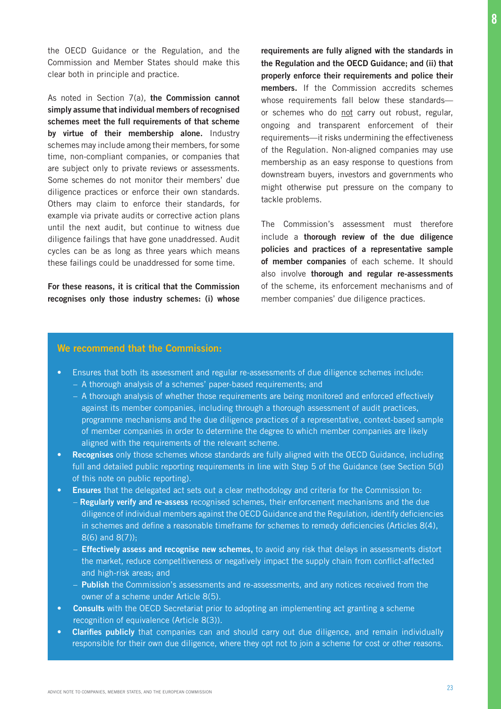the OECD Guidance or the Regulation, and the Commission and Member States should make this clear both in principle and practice.

As noted in Section 7(a), the Commission cannot simply assume that individual members of recognised schemes meet the full requirements of that scheme by virtue of their membership alone. Industry schemes may include among their members, for some time, non-compliant companies, or companies that are subject only to private reviews or assessments. Some schemes do not monitor their members' due diligence practices or enforce their own standards. Others may claim to enforce their standards, for example via private audits or corrective action plans until the next audit, but continue to witness due diligence failings that have gone unaddressed. Audit cycles can be as long as three years which means these failings could be unaddressed for some time.

For these reasons, it is critical that the Commission recognises only those industry schemes: (i) whose

requirements are fully aligned with the standards in the Regulation and the OECD Guidance; and (ii) that properly enforce their requirements and police their members. If the Commission accredits schemes whose requirements fall below these standards or schemes who do not carry out robust, regular, ongoing and transparent enforcement of their requirements—it risks undermining the effectiveness of the Regulation. Non-aligned companies may use membership as an easy response to questions from downstream buyers, investors and governments who might otherwise put pressure on the company to tackle problems.

The Commission's assessment must therefore include a thorough review of the due diligence policies and practices of a representative sample of member companies of each scheme. It should also involve thorough and regular re-assessments of the scheme, its enforcement mechanisms and of member companies' due diligence practices.

#### We recommend that the Commission:

- Ensures that both its assessment and regular re-assessments of due diligence schemes include:
	- A thorough analysis of a schemes' paper-based requirements; and
	- A thorough analysis of whether those requirements are being monitored and enforced effectively against its member companies, including through a thorough assessment of audit practices, programme mechanisms and the due diligence practices of a representative, context-based sample of member companies in order to determine the degree to which member companies are likely aligned with the requirements of the relevant scheme.
- Recognises only those schemes whose standards are fully aligned with the OECD Guidance, including full and detailed public reporting requirements in line with Step 5 of the Guidance (see Section 5(d) of this note on public reporting).
- Ensures that the delegated act sets out a clear methodology and criteria for the Commission to:
	- Regularly verify and re-assess recognised schemes, their enforcement mechanisms and the due diligence of individual members against the OECD Guidance and the Regulation, identify deficiencies in schemes and define a reasonable timeframe for schemes to remedy deficiencies (Articles 8(4), 8(6) and 8(7));
	- Effectively assess and recognise new schemes, to avoid any risk that delays in assessments distort the market, reduce competitiveness or negatively impact the supply chain from conflict-affected and high-risk areas; and
	- Publish the Commission's assessments and re-assessments, and any notices received from the owner of a scheme under Article 8(5).
- Consults with the OECD Secretariat prior to adopting an implementing act granting a scheme recognition of equivalence (Article 8(3)).
- Clarifies publicly that companies can and should carry out due diligence, and remain individually responsible for their own due diligence, where they opt not to join a scheme for cost or other reasons.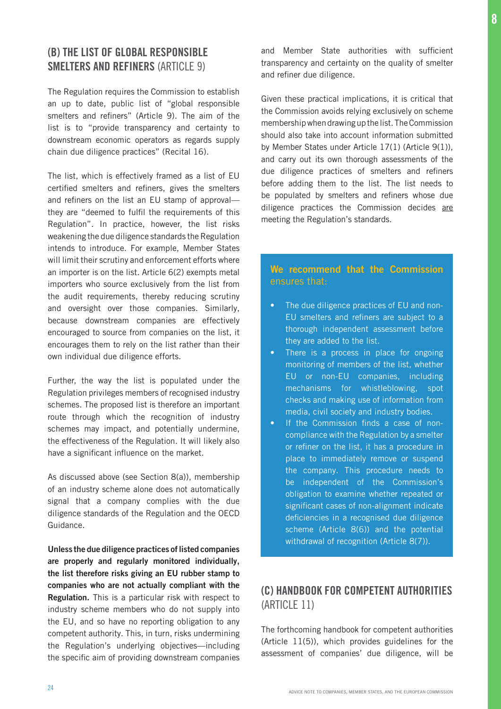## (B) THE LIST OF GLOBAL RESPONSIBLE SMELTERS AND REFINERS (ARTICLE 9)

The Regulation requires the Commission to establish an up to date, public list of "global responsible smelters and refiners" (Article 9). The aim of the list is to "provide transparency and certainty to downstream economic operators as regards supply chain due diligence practices" (Recital 16).

The list, which is effectively framed as a list of EU certified smelters and refiners, gives the smelters and refiners on the list an EU stamp of approval they are "deemed to fulfil the requirements of this Regulation". In practice, however, the list risks weakening the due diligence standards the Regulation intends to introduce. For example, Member States will limit their scrutiny and enforcement efforts where an importer is on the list. Article 6(2) exempts metal importers who source exclusively from the list from the audit requirements, thereby reducing scrutiny and oversight over those companies. Similarly, because downstream companies are effectively encouraged to source from companies on the list, it encourages them to rely on the list rather than their own individual due diligence efforts.

Further, the way the list is populated under the Regulation privileges members of recognised industry schemes. The proposed list is therefore an important route through which the recognition of industry schemes may impact, and potentially undermine, the effectiveness of the Regulation. It will likely also have a significant influence on the market.

As discussed above (see Section 8(a)), membership of an industry scheme alone does not automatically signal that a company complies with the due diligence standards of the Regulation and the OECD Guidance.

Unless the due diligence practices of listed companies are properly and regularly monitored individually, the list therefore risks giving an EU rubber stamp to companies who are not actually compliant with the Regulation. This is a particular risk with respect to industry scheme members who do not supply into the EU, and so have no reporting obligation to any competent authority. This, in turn, risks undermining the Regulation's underlying objectives—including the specific aim of providing downstream companies

and Member State authorities with sufficient transparency and certainty on the quality of smelter and refiner due diligence.

Given these practical implications, it is critical that the Commission avoids relying exclusively on scheme membership when drawing up the list. The Commission should also take into account information submitted by Member States under Article 17(1) (Article 9(1)), and carry out its own thorough assessments of the due diligence practices of smelters and refiners before adding them to the list. The list needs to be populated by smelters and refiners whose due diligence practices the Commission decides are meeting the Regulation's standards.

## We recommend that the Commission ensures that:

- The due diligence practices of EU and non-EU smelters and refiners are subject to a thorough independent assessment before they are added to the list.
- There is a process in place for ongoing monitoring of members of the list, whether EU or non-EU companies, including mechanisms for whistleblowing, spot checks and making use of information from media, civil society and industry bodies.
- If the Commission finds a case of noncompliance with the Regulation by a smelter or refiner on the list, it has a procedure in place to immediately remove or suspend the company. This procedure needs to be independent of the Commission's obligation to examine whether repeated or significant cases of non-alignment indicate deficiencies in a recognised due diligence scheme (Article 8(6)) and the potential withdrawal of recognition (Article 8(7)).

## (C) HANDBOOK FOR COMPETENT AUTHORITIES (ARTICLE 11)

The forthcoming handbook for competent authorities (Article 11(5)), which provides guidelines for the assessment of companies' due diligence, will be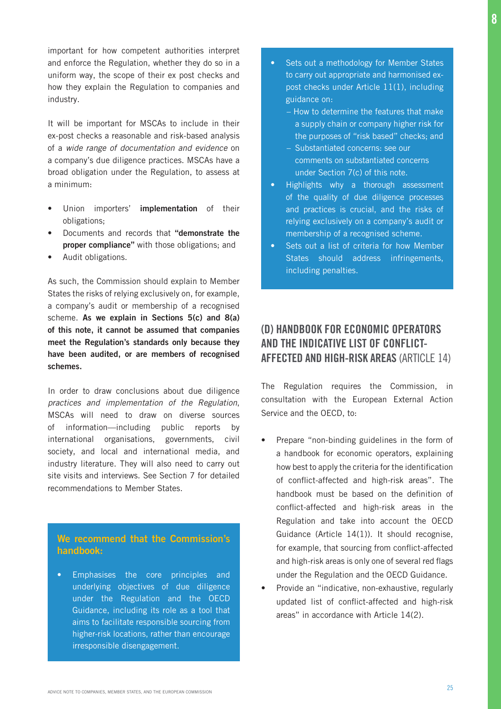important for how competent authorities interpret and enforce the Regulation, whether they do so in a uniform way, the scope of their ex post checks and how they explain the Regulation to companies and industry.

It will be important for MSCAs to include in their ex-post checks a reasonable and risk-based analysis of a *wide range of documentation and evidence* on a company's due diligence practices. MSCAs have a broad obligation under the Regulation, to assess at a minimum:

- Union importers' implementation of their obligations;
- Documents and records that "demonstrate the proper compliance" with those obligations; and
- Audit obligations.

As such, the Commission should explain to Member States the risks of relying exclusively on, for example, a company's audit or membership of a recognised scheme. As we explain in Sections 5(c) and 8(a) of this note, it cannot be assumed that companies meet the Regulation's standards only because they have been audited, or are members of recognised schemes.

In order to draw conclusions about due diligence *practices and implementation of the Regulation*, MSCAs will need to draw on diverse sources of information—including public reports by international organisations, governments, civil society, and local and international media, and industry literature. They will also need to carry out site visits and interviews. See Section 7 for detailed recommendations to Member States.

## We recommend that the Commission's handbook:

• Emphasises the core principles and underlying objectives of due diligence under the Regulation and the OECD Guidance, including its role as a tool that aims to facilitate responsible sourcing from higher-risk locations, rather than encourage irresponsible disengagement.

- Sets out a methodology for Member States to carry out appropriate and harmonised expost checks under Article 11(1), including guidance on:
	- How to determine the features that make a supply chain or company higher risk for the purposes of "risk based" checks; and
	- Substantiated concerns: see our comments on substantiated concerns under Section 7(c) of this note.
- Highlights why a thorough assessment of the quality of due diligence processes and practices is crucial, and the risks of relying exclusively on a company's audit or membership of a recognised scheme.
- Sets out a list of criteria for how Member States should address infringements, including penalties.

## (D) HANDBOOK FOR ECONOMIC OPERATORS AND THE INDICATIVE LIST OF CONFLICT-AFFECTED AND HIGH-RISK AREAS (ARTICLE 14)

The Regulation requires the Commission, in consultation with the European External Action Service and the OECD, to:

- Prepare "non-binding guidelines in the form of a handbook for economic operators, explaining how best to apply the criteria for the identification of conflict-affected and high-risk areas". The handbook must be based on the definition of conflict-affected and high-risk areas in the Regulation and take into account the OECD Guidance (Article 14(1)). It should recognise, for example, that sourcing from conflict-affected and high-risk areas is only one of several red flags under the Regulation and the OECD Guidance.
- Provide an "indicative, non-exhaustive, regularly updated list of conflict-affected and high-risk areas" in accordance with Article 14(2).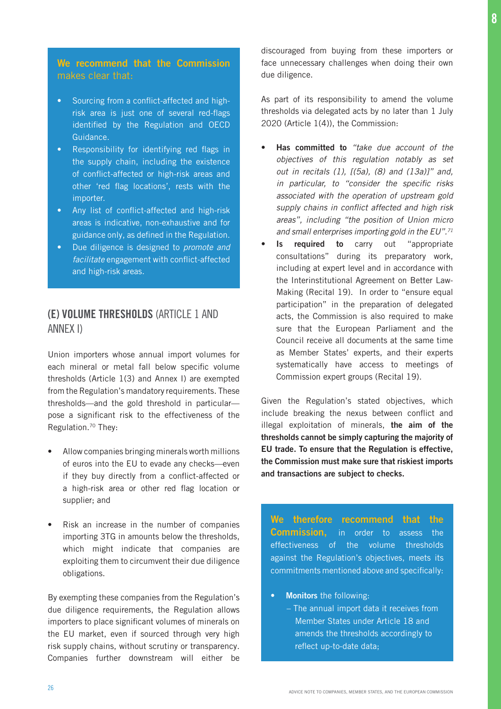## We recommend that the Commission makes clear that:

- Sourcing from a conflict-affected and highrisk area is just one of several red-flags identified by the Regulation and OECD Guidance.
- Responsibility for identifying red flags in the supply chain, including the existence of conflict-affected or high-risk areas and other 'red flag locations', rests with the importer.
- Any list of conflict-affected and high-risk areas is indicative, non-exhaustive and for guidance only, as defined in the Regulation.
- Due diligence is designed to *promote and facilitate* engagement with conflict-affected and high-risk areas.

## (E) VOLUME THRESHOLDS (ARTICLE 1 AND ANNEX I)

Union importers whose annual import volumes for each mineral or metal fall below specific volume thresholds (Article 1(3) and Annex I) are exempted from the Regulation's mandatory requirements. These thresholds—and the gold threshold in particular pose a significant risk to the effectiveness of the Regulation.70 They:

- Allow companies bringing minerals worth millions of euros into the EU to evade any checks—even if they buy directly from a conflict-affected or a high-risk area or other red flag location or supplier; and
- Risk an increase in the number of companies importing 3TG in amounts below the thresholds, which might indicate that companies are exploiting them to circumvent their due diligence obligations.

By exempting these companies from the Regulation's due diligence requirements, the Regulation allows importers to place significant volumes of minerals on the EU market, even if sourced through very high risk supply chains, without scrutiny or transparency. Companies further downstream will either be discouraged from buying from these importers or face unnecessary challenges when doing their own due diligence.

As part of its responsibility to amend the volume thresholds via delegated acts by no later than 1 July 2020 (Article 1(4)), the Commission:

- Has committed to "take due account of the *objectives of this regulation notably as set*  out in recitals (1), [(5a), (8) and (13a)]" and, in particular, to "consider the specific risks *associated with the operation of upstream gold*  supply chains in conflict affected and high risk *areas", including "the position of Union micro and small enterprises importing gold in the EU".71*
- Is required to carry out "appropriate consultations" during its preparatory work, including at expert level and in accordance with the Interinstitutional Agreement on Better Law-Making (Recital 19). In order to "ensure equal participation" in the preparation of delegated acts, the Commission is also required to make sure that the European Parliament and the Council receive all documents at the same time as Member States' experts, and their experts systematically have access to meetings of Commission expert groups (Recital 19).

Given the Regulation's stated objectives, which include breaking the nexus between conflict and illegal exploitation of minerals, the aim of the thresholds cannot be simply capturing the majority of EU trade. To ensure that the Regulation is effective, the Commission must make sure that riskiest imports and transactions are subject to checks.

We therefore recommend that the **Commission,** in order to assess the effectiveness of the volume thresholds against the Regulation's objectives, meets its commitments mentioned above and specifically:

- Monitors the following:
	- The annual import data it receives from Member States under Article 18 and amends the thresholds accordingly to reflect up-to-date data;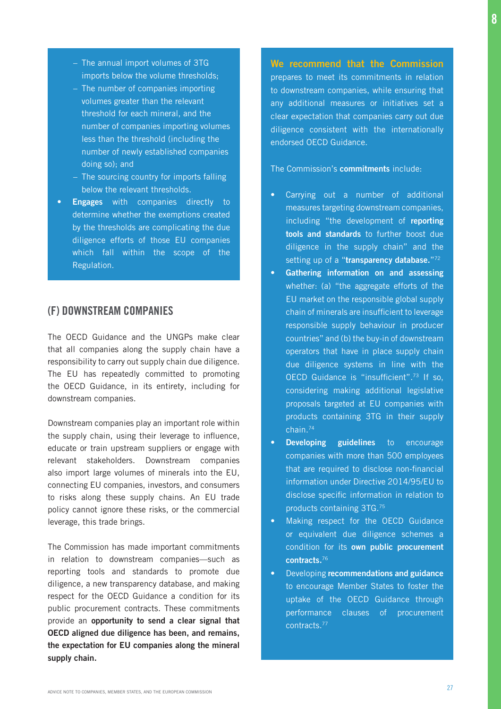- The annual import volumes of 3TG imports below the volume thresholds;
- The number of companies importing volumes greater than the relevant threshold for each mineral, and the number of companies importing volumes less than the threshold (including the number of newly established companies doing so); and
- The sourcing country for imports falling below the relevant thresholds.
- **Engages** with companies directly to determine whether the exemptions created by the thresholds are complicating the due diligence efforts of those EU companies which fall within the scope of the Regulation.

## (F) DOWNSTREAM COMPANIES

The OECD Guidance and the UNGPs make clear that all companies along the supply chain have a responsibility to carry out supply chain due diligence. The EU has repeatedly committed to promoting the OECD Guidance, in its entirety, including for downstream companies.

Downstream companies play an important role within the supply chain, using their leverage to influence, educate or train upstream suppliers or engage with relevant stakeholders. Downstream companies also import large volumes of minerals into the EU, connecting EU companies, investors, and consumers to risks along these supply chains. An EU trade policy cannot ignore these risks, or the commercial leverage, this trade brings.

The Commission has made important commitments in relation to downstream companies—such as reporting tools and standards to promote due diligence, a new transparency database, and making respect for the OECD Guidance a condition for its public procurement contracts. These commitments provide an opportunity to send a clear signal that OECD aligned due diligence has been, and remains, the expectation for EU companies along the mineral supply chain.

We recommend that the Commission prepares to meet its commitments in relation to downstream companies, while ensuring that any additional measures or initiatives set a clear expectation that companies carry out due diligence consistent with the internationally endorsed OECD Guidance.

The Commission's **commitments** include:

- Carrying out a number of additional measures targeting downstream companies, including "the development of reporting tools and standards to further boost due diligence in the supply chain" and the setting up of a "transparency database."72
- Gathering information on and assessing whether: (a) "the aggregate efforts of the EU market on the responsible global supply chain of minerals are insufficient to leverage responsible supply behaviour in producer countries" and (b) the buy-in of downstream operators that have in place supply chain due diligence systems in line with the OECD Guidance is "insufficient".73 If so, considering making additional legislative proposals targeted at EU companies with products containing 3TG in their supply chain.74
- **Developing guidelines** to encourage companies with more than 500 employees that are required to disclose non-financial information under Directive 2014/95/EU to disclose specific information in relation to products containing 3TG.75
- Making respect for the OECD Guidance or equivalent due diligence schemes a condition for its own public procurement contracts.<sup>76</sup>
- Developing recommendations and guidance to encourage Member States to foster the uptake of the OECD Guidance through performance clauses of procurement contracts.77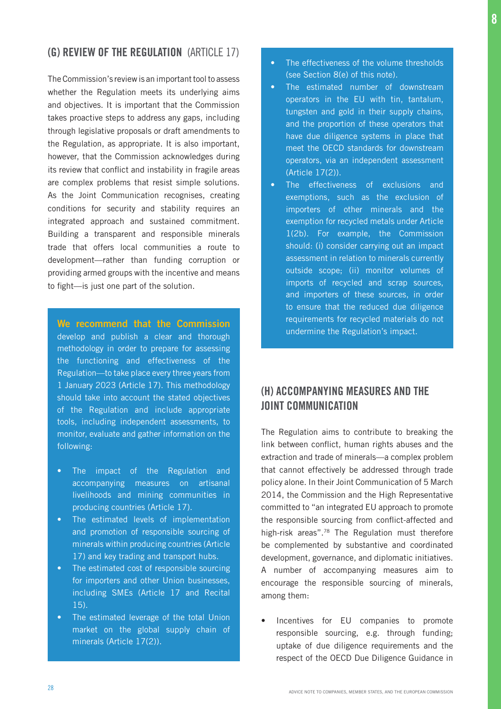## (G) REVIEW OF THE REGULATION (ARTICLE 17)

The Commission's review is an important tool to assess whether the Regulation meets its underlying aims and objectives. It is important that the Commission takes proactive steps to address any gaps, including through legislative proposals or draft amendments to the Regulation, as appropriate. It is also important, however, that the Commission acknowledges during its review that conflict and instability in fragile areas are complex problems that resist simple solutions. As the Joint Communication recognises, creating conditions for security and stability requires an integrated approach and sustained commitment. Building a transparent and responsible minerals trade that offers local communities a route to development—rather than funding corruption or providing armed groups with the incentive and means to fight—is just one part of the solution.

We recommend that the Commission develop and publish a clear and thorough methodology in order to prepare for assessing the functioning and effectiveness of the Regulation—to take place every three years from 1 January 2023 (Article 17). This methodology should take into account the stated objectives of the Regulation and include appropriate tools, including independent assessments, to monitor, evaluate and gather information on the following:

- The impact of the Regulation and accompanying measures on artisanal livelihoods and mining communities in producing countries (Article 17).
- The estimated levels of implementation and promotion of responsible sourcing of minerals within producing countries (Article 17) and key trading and transport hubs.
- The estimated cost of responsible sourcing for importers and other Union businesses, including SMEs (Article 17 and Recital 15).
- The estimated leverage of the total Union market on the global supply chain of minerals (Article 17(2)).
- The effectiveness of the volume thresholds (see Section 8(e) of this note).
- The estimated number of downstream operators in the EU with tin, tantalum, tungsten and gold in their supply chains, and the proportion of these operators that have due diligence systems in place that meet the OECD standards for downstream operators, via an independent assessment (Article 17(2)).
- The effectiveness of exclusions and exemptions, such as the exclusion of importers of other minerals and the exemption for recycled metals under Article 1(2b). For example, the Commission should: (i) consider carrying out an impact assessment in relation to minerals currently outside scope; (ii) monitor volumes of imports of recycled and scrap sources, and importers of these sources, in order to ensure that the reduced due diligence requirements for recycled materials do not undermine the Regulation's impact.

## (H) ACCOMPANYING MEASURES AND THE JOINT COMMUNICATION

The Regulation aims to contribute to breaking the link between conflict, human rights abuses and the extraction and trade of minerals—a complex problem that cannot effectively be addressed through trade policy alone. In their Joint Communication of 5 March 2014, the Commission and the High Representative committed to "an integrated EU approach to promote the responsible sourcing from conflict-affected and high-risk areas".<sup>78</sup> The Regulation must therefore be complemented by substantive and coordinated development, governance, and diplomatic initiatives. A number of accompanying measures aim to encourage the responsible sourcing of minerals, among them:

• Incentives for EU companies to promote responsible sourcing, e.g. through funding; uptake of due diligence requirements and the respect of the OECD Due Diligence Guidance in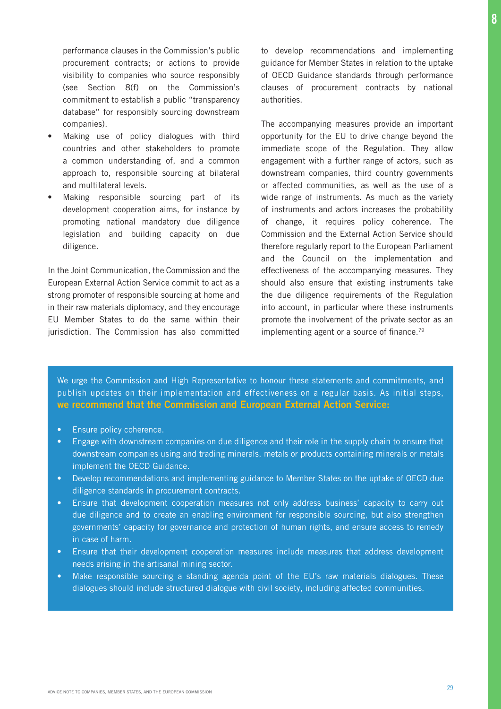performance clauses in the Commission's public procurement contracts; or actions to provide visibility to companies who source responsibly (see Section 8(f) on the Commission's commitment to establish a public "transparency database" for responsibly sourcing downstream companies).

- Making use of policy dialogues with third countries and other stakeholders to promote a common understanding of, and a common approach to, responsible sourcing at bilateral and multilateral levels.
- Making responsible sourcing part of its development cooperation aims, for instance by promoting national mandatory due diligence legislation and building capacity on due diligence.

In the Joint Communication, the Commission and the European External Action Service commit to act as a strong promoter of responsible sourcing at home and in their raw materials diplomacy, and they encourage EU Member States to do the same within their jurisdiction. The Commission has also committed to develop recommendations and implementing guidance for Member States in relation to the uptake of OECD Guidance standards through performance clauses of procurement contracts by national authorities.

The accompanying measures provide an important opportunity for the EU to drive change beyond the immediate scope of the Regulation. They allow engagement with a further range of actors, such as downstream companies, third country governments or affected communities, as well as the use of a wide range of instruments. As much as the variety of instruments and actors increases the probability of change, it requires policy coherence. The Commission and the External Action Service should therefore regularly report to the European Parliament and the Council on the implementation and effectiveness of the accompanying measures. They should also ensure that existing instruments take the due diligence requirements of the Regulation into account, in particular where these instruments promote the involvement of the private sector as an implementing agent or a source of finance.<sup>79</sup>

We urge the Commission and High Representative to honour these statements and commitments, and publish updates on their implementation and effectiveness on a regular basis. As initial steps, we recommend that the Commission and European External Action Service:

- Ensure policy coherence.
- Engage with downstream companies on due diligence and their role in the supply chain to ensure that downstream companies using and trading minerals, metals or products containing minerals or metals implement the OECD Guidance.
- Develop recommendations and implementing guidance to Member States on the uptake of OECD due diligence standards in procurement contracts.
- Ensure that development cooperation measures not only address business' capacity to carry out due diligence and to create an enabling environment for responsible sourcing, but also strengthen governments' capacity for governance and protection of human rights, and ensure access to remedy in case of harm.
- Ensure that their development cooperation measures include measures that address development needs arising in the artisanal mining sector.
- Make responsible sourcing a standing agenda point of the EU's raw materials dialogues. These dialogues should include structured dialogue with civil society, including affected communities.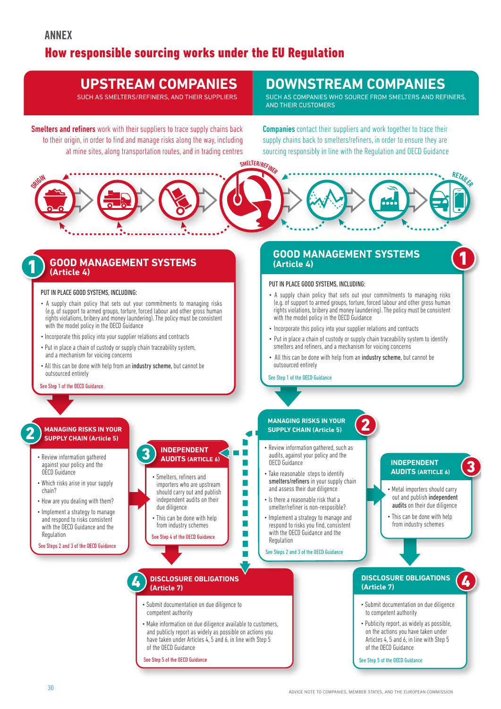## How responsible sourcing works under the EU Regulation

## **UPSTREAM COMPANIES**

SUCH AS SMELTERS/REFINERS, AND THEIR SUPPLIERS

**Smelters and refiners** work with their suppliers to trace supply chains back to their origin, in order to find and manage risks along the way, including at mine sites, along transportation routes, and in trading centres

## **DOWNSTREAM COMPANIES**

SUCH AS COMPANIES WHO SOURCE FROM SMELTERS AND REFINERS, AND THEIR CUSTOMERS

Companies contact their suppliers and work together to trace their supply chains back to smelters/refiners, in order to ensure they are sourcing responsibly in line with the Regulation and OECD Guidance



## **GOOD MANAGEMENT SYSTEMS (Article 4)**

#### PUT IN PLACE GOOD SYSTEMS, INCLUDING:

1

- A supply chain policy that sets out your commitments to managing risks (e.g. of support to armed groups, torture, forced labour and other gross human rights violations, bribery and money laundering). The policy must be consistent with the model policy in the OECD Guidance
- Incorporate this policy into your supplier relations and contracts
- Put in place a chain of custody or supply chain traceability system, and a mechanism for voicing concerns
- All this can be done with help from an industry scheme, but cannot be outsourced entirely

#### See Step 1 of the OECD Guidance

#### **MANAGING RISKS IN YOUR SUPPLY CHAIN (Article 5)**<br> **SUPPLY CHAIN (Article 5)**<br> **SUPPLY CHAIN (Article 5)**

- Review information gathered against your policy and the OECD Guidance
- Which risks arise in your supply chain?
- How are you dealing with them?
- Implement a strategy to manage and respond to risks consistent with the OECD Guidance and the Regulation
- See Steps 2 and 3 of the OECD Guidance



- This can be done with help from industry schemes
- See Step 4 of the OECD Guidanc

#### 4 **DISCLOSURE OBLIGATIONS (Article 7)**

- Submit documentation on due diligence to competent authority
- Make information on due diligence available to customers, and publicly report as widely as possible on actions you have taken under Articles 4, 5 and 6, in line with Step 5 of the OECD Guidance

п

See Step 5 of the OECD Guidance

#### **GOOD MANAGEMENT SYSTEMS (Article 4)**

#### PUT IN PLACE GOOD SYSTEMS, INCLUDING:

- A supply chain policy that sets out your commitments to managing risks (e.g. of support to armed groups, torture, forced labour and other gross human rights violations, bribery and money laundering). The policy must be consistent with the model policy in the OECD Guidance
- Incorporate this policy into your supplier relations and contracts
- Put in place a chain of custody or supply chain traceability system to identify smelters and refiners, and a mechanism for voicing concerns

2

• All this can be done with help from an industry scheme, but cannot be outsourced entirely

#### See Step 1 of the OECD Guidance

## **MANAGING RISKS IN YOUR**

- Review information gathered, such as audits, against your policy and the OECD Guidance
- smelters/refiners in your supply chain and assess their due diligence
- Is there a reasonable risk that a smelter/refiner is non-resposible?
- Implement a strategy to manage and respond to risks you find, consistent with the OECD Guidance and the Regulation
- See Steps 2 and 3 of the OECD Guidance

## **INDEPENDENT**<br>**AUDITS** (ARTICLE 6)

- Metal importers should carry out and publish independent audits on their due diligence
	- This can be done with help from industry schemes

#### **DISCLOSURE OBLIGATIONS (Article 7)**

4

1

- Submit documentation on due diligence to competent authority
- Publicity report, as widely as possible, on the actions you have taken under Articles 4, 5 and 6, in line with Step 5 of the OECD Guidance
- See Step 5 of the OECD Guidance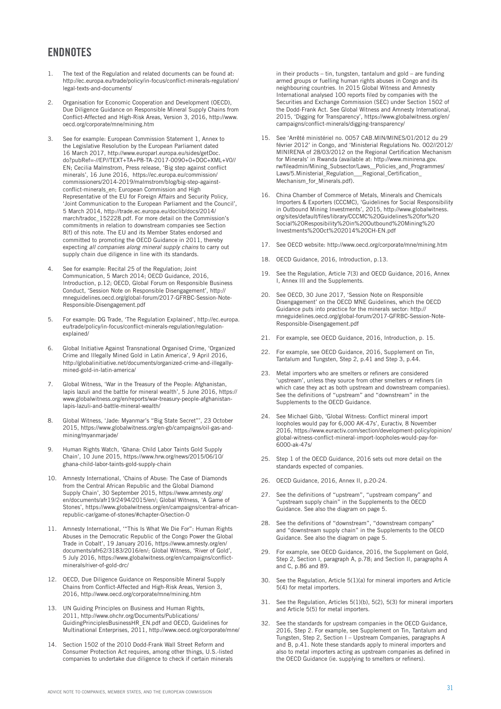## **ENDNOTES**

- 1. The text of the Regulation and related documents can be found at: [http://ec.europa.eu/trade/policy/in-focus/conflict-minerals-regulation/](http://ec.europa.eu/trade/policy/in-focus/conflict-minerals-regulation/legal-texts-and-documents/) [legal-texts-and-documents/](http://ec.europa.eu/trade/policy/in-focus/conflict-minerals-regulation/legal-texts-and-documents/)
- 2. Organisation for Economic Cooperation and Development (OECD), Due Diligence Guidance on Responsible Mineral Supply Chains from Conflict-Affected and High-Risk Areas, Version 3, 2016, [http://www.](http://www.oecd.org/corporate/mne/mining.htm) [oecd.org/corporate/mne/mining.htm](http://www.oecd.org/corporate/mne/mining.htm)
- 3. See for example: European Commission Statement 1, Annex to the Legislative Resolution by the European Parliament dated 16 March 2017, [http://www.europarl.europa.eu/sides/getDoc.](http://www.europarl.europa.eu/sides/getDoc.do?pubRef=-//EP//TEXT+TA+P8-TA-2017-0090+0+DOC+XML+V0//EN) [do?pubRef=-//EP//TEXT+TA+P8-TA-2017-0090+0+DOC+XML+V0//](http://www.europarl.europa.eu/sides/getDoc.do?pubRef=-//EP//TEXT+TA+P8-TA-2017-0090+0+DOC+XML+V0//EN) [EN](http://www.europarl.europa.eu/sides/getDoc.do?pubRef=-//EP//TEXT+TA+P8-TA-2017-0090+0+DOC+XML+V0//EN); Cecilia Malmstrom, Press release, 'Big step against conflict minerals', 16 June 2016, [https://ec.europa.eu/commission/](https://ec.europa.eu/commission/commissioners/2014-2019/malmstrom/blog/big-step-against-conflict-minerals_en) [commissioners/2014-2019/malmstrom/blog/big-step-against](https://ec.europa.eu/commission/commissioners/2014-2019/malmstrom/blog/big-step-against-conflict-minerals_en)[conflict-minerals\\_en;](https://ec.europa.eu/commission/commissioners/2014-2019/malmstrom/blog/big-step-against-conflict-minerals_en) European Commission and High Representative of the EU for Foreign Affairs and Security Policy, 'Joint Communication to the European Parliament and the Council', 5 March 2014, [http://trade.ec.europa.eu/doclib/docs/2014/](http://trade.ec.europa.eu/doclib/docs/2014/march/tradoc_152228.pdf) [march/tradoc\\_152228.pdf.](http://trade.ec.europa.eu/doclib/docs/2014/march/tradoc_152228.pdf) For more detail on the Commission's commitments in relation to downstream companies see Section 8(f) of this note. The EU and its Member States endorsed and committed to promoting the OECD Guidance in 2011, thereby expecting *all companies along mineral supply chains* to carry out supply chain due diligence in line with its standards.
- 4. See for example: Recital 25 of the Regulation; Joint Communication, 5 March 2014; OECD Guidance, 2016, Introduction, p.12; OECD, Global Forum on Responsible Business Conduct, 'Session Note on Responsible Disengagement', http:// mneguidelines.oecd.org/global-forum/2017-GFRBC-Session-Note-Responsible-Disengagement.pdf
- 5. For example: DG Trade, 'The Regulation Explained', [http://ec.europa.](http://ec.europa.eu/trade/policy/in-focus/conflict-minerals-regulation/regulation-explained/) [eu/trade/policy/in-focus/conflict-minerals-regulation/regulation](http://ec.europa.eu/trade/policy/in-focus/conflict-minerals-regulation/regulation-explained/)[explained/](http://ec.europa.eu/trade/policy/in-focus/conflict-minerals-regulation/regulation-explained/)
- 6. Global Initiative Against Transnational Organised Crime, 'Organized Crime and Illegally Mined Gold in Latin America', 9 April 2016, http://globalinitiative.net/documents/organized-crime-and-illegallymined-gold-in-latin-america/
- 7. Global Witness, 'War in the Treasury of the People: Afghanistan, lapis lazuli and the battle for mineral wealth', 5 June 2016, https:// www.globalwitness.org/en/reports/war-treasury-people-afghanistanlapis-lazuli-and-battle-mineral-wealth/
- 8. Global Witness, 'Jade: Myanmar's "Big State Secret"', 23 October 2015, https://www.globalwitness.org/en-gb/campaigns/oil-gas-andmining/myanmarjade/
- 9. Human Rights Watch, 'Ghana: Child Labor Taints Gold Supply Chain', 10 June 2015, [https://www.hrw.org/news/2015/06/10/](https://www.hrw.org/news/2015/06/10/ghana-child-labor-taints-gold-supply-chain) [ghana-child-labor-taints-gold-supply-chain](https://www.hrw.org/news/2015/06/10/ghana-child-labor-taints-gold-supply-chain)
- 10. Amnesty International, 'Chains of Abuse: The Case of Diamonds from the Central African Republic and the Global Diamond Supply Chain', 30 September 2015, [https://www.amnesty.org/](https://www.amnesty.org/en/documents/afr19/2494/2015/en/) [en/documents/afr19/2494/2015/en/;](https://www.amnesty.org/en/documents/afr19/2494/2015/en/) Global Witness, 'A Game of Stones', https://www.globalwitness.org/en/campaigns/central-africanrepublic-car/game-of-stones/#chapter-0/section-0
- 11. Amnesty International, '"This Is What We Die For": Human Rights Abuses in the Democratic Republic of the Congo Power the Global Trade in Cobalt', 19 January 2016, https://www.amnesty.org/en/ documents/afr62/3183/2016/en/; Global Witness, 'River of Gold', 5 July 2016, https://www.globalwitness.org/en/campaigns/conflictminerals/river-of-gold-drc/
- 12. OECD, Due Diligence Guidance on Responsible Mineral Supply Chains from Conflict-Affected and High-Risk Areas, Version 3, 2016, http://www.oecd.org/corporate/mne/mining.htm
- 13. UN Guiding Principles on Business and Human Rights, 2011, [http://www.ohchr.org/Documents/Publications/](http://www.ohchr.org/Documents/Publications/GuidingPrinciplesBusinessHR_EN.pdf) [GuidingPrinciplesBusinessHR\\_EN.pdf](http://www.ohchr.org/Documents/Publications/GuidingPrinciplesBusinessHR_EN.pdf) and OECD, Guidelines for Multinational Enterprises, 2011, http://www.oecd.org/corporate/mne/
- 14. Section 1502 of the 2010 Dodd-Frank Wall Street Reform and Consumer Protection Act requires, among other things, U.S.-listed companies to undertake due diligence to check if certain minerals

in their products – tin, tungsten, tantalum and gold – are funding armed groups or fuelling human rights abuses in Congo and its neighbouring countries. In 2015 Global Witness and Amnesty International analysed 100 reports filed by companies with the Securities and Exchange Commission (SEC) under Section 1502 of the Dodd-Frank Act. See Global Witness and Amnesty International, 2015, 'Digging for Transparency', [https://www.globalwitness.org/en/](https://www.globalwitness.org/en/campaigns/conflict-minerals/digging-transparency/) [campaigns/conflict-minerals/digging-transparency/](https://www.globalwitness.org/en/campaigns/conflict-minerals/digging-transparency/) 

- 15. See 'Arrêté ministériel no. 0057 CAB.MIN/MINES/01/2012 du 29 février 2012' in Congo, and 'Ministerial Regulations No. 002//2012/ MINIRENA of 28/03/2012 on the Regional Certification Mechanism for Minerals' in Rwanda (available at: [http://www.minirena.gov.](http://www.minirena.gov.rw/fileadmin/Mining_Subsector/Laws__Policies_and_Programmes/Laws/5.Ministerial_Regulation___Regional_Certification_Mechanism_for_Minerals.pdf) [rw/fileadmin/Mining\\_Subsector/Laws\\_\\_Policies\\_and\\_Programmes/](http://www.minirena.gov.rw/fileadmin/Mining_Subsector/Laws__Policies_and_Programmes/Laws/5.Ministerial_Regulation___Regional_Certification_Mechanism_for_Minerals.pdf) [Laws/5.Ministerial\\_Regulation\\_\\_\\_Regional\\_Certification\\_](http://www.minirena.gov.rw/fileadmin/Mining_Subsector/Laws__Policies_and_Programmes/Laws/5.Ministerial_Regulation___Regional_Certification_Mechanism_for_Minerals.pdf) Mechanism for Minerals.pdf).
- 16. China Chamber of Commerce of Metals, Minerals and Chemicals Importers & Exporters (CCCMC), 'Guidelines for Social Responsibility in Outbound Mining Investments', 2015, [http://www.globalwitness.](https://www.globalwitness.org/sites/default/files/library/CCCMC%20Guidelines%20for%20Social%20Resposibility%20in%20Outbound%20Mining%20Investments%20Oct%202014%20CH-EN.pdf) [org/sites/default/files/library/CCCMC%20Guidelines%20for%20](https://www.globalwitness.org/sites/default/files/library/CCCMC%20Guidelines%20for%20Social%20Resposibility%20in%20Outbound%20Mining%20Investments%20Oct%202014%20CH-EN.pdf) [Social%20Resposibility%20in%20Outbound%20Mining%20](https://www.globalwitness.org/sites/default/files/library/CCCMC%20Guidelines%20for%20Social%20Resposibility%20in%20Outbound%20Mining%20Investments%20Oct%202014%20CH-EN.pdf) [Investments%20Oct%202014%20CH-EN.pdf](https://www.globalwitness.org/sites/default/files/library/CCCMC%20Guidelines%20for%20Social%20Resposibility%20in%20Outbound%20Mining%20Investments%20Oct%202014%20CH-EN.pdf)
- 17. See OECD website: http://www.oecd.org/corporate/mne/mining.htm
- 18. OECD Guidance, 2016, Introduction, p.13.
- 19. See the Regulation, Article 7(3) and OECD Guidance, 2016, Annex I, Annex III and the Supplements.
- 20. See OECD, 30 June 2017, 'Session Note on Responsible Disengagement' on the OECD MNE Guidelines, which the OECD Guidance puts into practice for the minerals sector: http:// mneguidelines.oecd.org/global-forum/2017-GFRBC-Session-Note-Responsible-Disengagement.pdf
- 21. For example, see OECD Guidance, 2016, Introduction, p. 15.
- 22. For example, see OECD Guidance, 2016, Supplement on Tin, Tantalum and Tungsten, Step 2, p.41 and Step 3, p.44.
- 23. Metal importers who are smelters or refiners are considered 'upstream', unless they source from other smelters or refiners (in which case they act as both upstream and downstream companies). See the definitions of "upstream" and "downstream" in the Supplements to the OECD Guidance.
- 24. See Michael Gibb, 'Global Witness: Conflict mineral import loopholes would pay for 6,000 AK-47s', Euractiv, 8 November 2016, [https://www.euractiv.com/section/development-policy/opinion/](https://www.euractiv.com/section/development-policy/opinion/global-witness-conflict-mineral-import-loopholes-would-pay-for-6000-ak-47s/) [global-witness-conflict-mineral-import-loopholes-would-pay-for-](https://www.euractiv.com/section/development-policy/opinion/global-witness-conflict-mineral-import-loopholes-would-pay-for-6000-ak-47s/)[6000-ak-47s/](https://www.euractiv.com/section/development-policy/opinion/global-witness-conflict-mineral-import-loopholes-would-pay-for-6000-ak-47s/)
- 25. Step 1 of the OECD Guidance, 2016 sets out more detail on the standards expected of companies.
- 26. OECD Guidance, 2016, Annex II, p.20-24.
- 27. See the definitions of "upstream", "upstream company" and "upstream supply chain" in the Supplements to the OECD Guidance. See also the diagram on page 5.
- 28. See the definitions of "downstream", "downstream company" and "downstream supply chain" in the Supplements to the OECD Guidance. See also the diagram on page 5.
- 29. For example, see OECD Guidance, 2016, the Supplement on Gold, Step 2, Section I, paragraph A, p.78; and Section II, paragraphs A and C, p.86 and 89.
- 30. See the Regulation, Article 5(1)(a) for mineral importers and Article 5(4) for metal importers.
- 31. See the Regulation, Articles 5(1)(b), 5(2), 5(3) for mineral importers and Article 5(5) for metal importers.
- 32. See the standards for upstream companies in the OECD Guidance, 2016, Step 2. For example, see Supplement on Tin, Tantalum and Tungsten, Step 2, Section I – Upstream Companies, paragraphs A and B, p.41. Note these standards apply to mineral importers and also to metal importers acting as upstream companies as defined in the OECD Guidance (ie. supplying to smelters or refiners).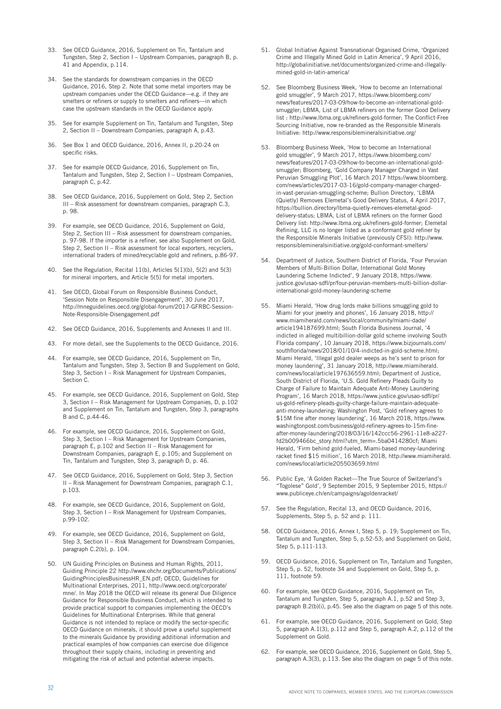- 33. See OECD Guidance, 2016, Supplement on Tin, Tantalum and Tungsten, Step 2, Section I – Upstream Companies, paragraph B, p. 41 and Appendix, p.114.
- 34. See the standards for downstream companies in the OECD Guidance, 2016, Step 2. Note that some metal importers may be upstream companies under the OECD Guidance—e.g. if they are smelters or refiners or supply to smelters and refiners—in which case the upstream standards in the OECD Guidance apply.
- 35. See for example Supplement on Tin, Tantalum and Tungsten, Step 2, Section II – Downstream Companies, paragraph A, p.43.
- 36. See Box 1 and OECD Guidance, 2016, Annex II, p.20-24 on specific risks.
- 37. See for example OECD Guidance, 2016, Supplement on Tin, Tantalum and Tungsten, Step 2, Section I – Upstream Companies, paragraph C, p.42.
- 38. See OECD Guidance, 2016, Supplement on Gold, Step 2, Section III – Risk assessment for downstream companies, paragraph C.3, p. 98.
- 39. For example, see OECD Guidance, 2016, Supplement on Gold, Step 2, Section III – Risk assessment for downstream companies, p. 97-98. If the importer is a refiner, see also Supplement on Gold, Step 2, Section II – Risk assessment for local exporters, recyclers, international traders of mined/recyclable gold and refiners, p.86-97.
- 40. See the Regulation, Recital 11(b), Articles 5(1)(b), 5(2) and 5(3) for mineral importers, and Article 5(5) for metal importers.
- 41. See OECD, Global Forum on Responsible Business Conduct, 'Session Note on Responsible Disengagement', 30 June 2017, http://mneguidelines.oecd.org/global-forum/2017-GFRBC-Session-Note-Responsible-Disengagement.pdf
- 42. See OECD Guidance, 2016, Supplements and Annexes II and III.
- 43. For more detail, see the Supplements to the OECD Guidance, 2016.
- 44. For example, see OECD Guidance, 2016, Supplement on Tin, Tantalum and Tungsten, Step 3, Section B and Supplement on Gold, Step 3, Section I – Risk Management for Upstream Companies, Section C.
- 45. For example, see OECD Guidance, 2016, Supplement on Gold, Step 3, Section I – Risk Management for Upstream Companies, D, p.102 and Supplement on Tin, Tantalum and Tungsten, Step 3, paragraphs B and C, p.44-46.
- 46. For example, see OECD Guidance, 2016, Supplement on Gold, Step 3, Section I – Risk Management for Upstream Companies, paragraph E, p.102 and Section II – Risk Management for Downstream Companies, paragraph E, p.105; and Supplement on Tin, Tantalum and Tungsten, Step 3, paragraph D, p. 46.
- 47. See OECD Guidance, 2016, Supplement on Gold, Step 3, Section II – Risk Management for Downstream Companies, paragraph C.1, p.103.
- 48. For example, see OECD Guidance, 2016, Supplement on Gold, Step 3, Section I – Risk Management for Upstream Companies, p.99-102.
- 49. For example, see OECD Guidance, 2016, Supplement on Gold, Step 3, Section II – Risk Management for Downstream Companies, paragraph C.2(b), p. 104.
- 50. UN Guiding Principles on Business and Human Rights, 2011, Guiding Principle 22 [http://www.ohchr.org/Documents/Publications/](http://www.ohchr.org/Documents/Publications/GuidingPrinciplesBusinessHR_EN.pdf) [GuidingPrinciplesBusinessHR\\_EN.pdf;](http://www.ohchr.org/Documents/Publications/GuidingPrinciplesBusinessHR_EN.pdf) OECD, Guidelines for Multinational Enterprises, 2011, http://www.oecd.org/corporate/ mne/. In May 2018 the OECD will release its general Due Diligence Guidance for Responsible Business Conduct, which is intended to provide practical support to companies implementing the OECD's Guidelines for Multinational Enterprises. While that general Guidance is not intended to replace or modify the sector-specific OECD Guidance on minerals, it should prove a useful supplement to the minerals Guidance by providing additional information and practical examples of how companies can exercise due diligence throughout their supply chains, including in preventing and mitigating the risk of actual and potential adverse impacts.
- 51. Global Initiative Against Transnational Organised Crime, 'Organized Crime and Illegally Mined Gold in Latin America', 9 April 2016, http://globalinitiative.net/documents/organized-crime-and-illegallymined-gold-in-latin-america/
- 52. See Bloomberg Business Week, 'How to become an International gold smuggler', 9 March 2017, [https://www.bloomberg.com/](https://www.bloomberg.com/news/features/2017-03-09/how-to-become-an-international-gold-smuggler) [news/features/2017-03-09/how-to-become-an-international-gold](https://www.bloomberg.com/news/features/2017-03-09/how-to-become-an-international-gold-smuggler)[smuggler](https://www.bloomberg.com/news/features/2017-03-09/how-to-become-an-international-gold-smuggler); LBMA, List of LBMA refiners on the former Good Delivery list : http://www.lbma.org.uk/refiners-gold-former; The Conflict-Free Sourcing Initiative, now re-branded as the Responsible Minerals Initiative: http://www.responsiblemineralsinitiative.org/
- 53. Bloomberg Business Week, 'How to become an International gold smuggler', 9 March 2017, [https://www.bloomberg.com/](https://www.bloomberg.com/news/features/2017-03-09/how-to-become-an-international-gold-smuggler) [news/features/2017-03-09/how-to-become-an-international-gold](https://www.bloomberg.com/news/features/2017-03-09/how-to-become-an-international-gold-smuggler)[smuggler](https://www.bloomberg.com/news/features/2017-03-09/how-to-become-an-international-gold-smuggler); Bloomberg, 'Gold Company Manager Charged in Vast Peruvian Smuggling Plot', 16 March 2017 [https://www.bloomberg.](https://www.bloomberg.com/news/articles/2017-03-16/gold-company-manager-charged-in-vast-peruvian-smuggling-scheme) [com/news/articles/2017-03-16/gold-company-manager-charged](https://www.bloomberg.com/news/articles/2017-03-16/gold-company-manager-charged-in-vast-peruvian-smuggling-scheme)[in-vast-peruvian-smuggling-scheme](https://www.bloomberg.com/news/articles/2017-03-16/gold-company-manager-charged-in-vast-peruvian-smuggling-scheme); Bullion Directory, 'LBMA (Quietly) Removes Elemetal's Good Delivery Status, 4 April 2017, https://bullion.directory/lbma-quietly-removes-elemetal-gooddelivery-status; LBMA, List of LBMA refiners on the former Good Delivery list: http://www.lbma.org.uk/refiners-gold-former; Elemetal Refining, LLC is no longer listed as a conformant gold refiner by the Responsible Minerals Initiative (previously CFSI): [http://www.](http://www.responsiblemineralsinitiative.org/gold-conformant-smelters/) [responsiblemineralsinitiative.org/gold-conformant-smelters/](http://www.responsiblemineralsinitiative.org/gold-conformant-smelters/)
- 54. Department of Justice, Southern District of Florida, 'Four Peruvian Members of Multi-Billion Dollar, International Gold Money Laundering Scheme Indicted', 9 January 2018, [https://www.](https://www.justice.gov/usao-sdfl/pr/four-peruvian-members-multi-billion-dollar-international-gold-money-laundering-scheme) [justice.gov/usao-sdfl/pr/four-peruvian-members-multi-billion-dollar](https://www.justice.gov/usao-sdfl/pr/four-peruvian-members-multi-billion-dollar-international-gold-money-laundering-scheme)[international-gold-money-laundering-scheme](https://www.justice.gov/usao-sdfl/pr/four-peruvian-members-multi-billion-dollar-international-gold-money-laundering-scheme)
- 55. Miami Herald, 'How drug lords make billions smuggling gold to Miami for your jewelry and phones', 16 January 2018, [http://](http://www.miamiherald.com/news/local/community/miami-dade/article194187699.html) [www.miamiherald.com/news/local/community/miami-dade/](http://www.miamiherald.com/news/local/community/miami-dade/article194187699.html) [article194187699.html](http://www.miamiherald.com/news/local/community/miami-dade/article194187699.html); South Florida Business Journal, '4 indicted in alleged multibillion-dollar gold scheme involving South Florida company', 10 January 2018, [https://www.bizjournals.com/](https://www.bizjournals.com/southflorida/news/2018/01/10/4-indicted-in-gold-scheme.html) [southflorida/news/2018/01/10/4-indicted-in-gold-scheme.html;](https://www.bizjournals.com/southflorida/news/2018/01/10/4-indicted-in-gold-scheme.html) Miami Herald, 'Illegal gold dealer weeps as he's sent to prison for money laundering', 31 January 2018, [http://www.miamiherald.](http://www.miamiherald.com/news/local/article197636559.html) [com/news/local/article197636559.html](http://www.miamiherald.com/news/local/article197636559.html); Department of Justice, South District of Florida, 'U.S. Gold Refinery Pleads Guilty to Charge of Failure to Maintain Adequate Anti-Money Laundering Program', 16 March 2018, [https://www.justice.gov/usao-sdfl/pr/](https://www.justice.gov/usao-sdfl/pr/us-gold-refinery-pleads-guilty-charge-failure-maintain-adequate-anti-money-laundering) [us-gold-refinery-pleads-guilty-charge-failure-maintain-adequate](https://www.justice.gov/usao-sdfl/pr/us-gold-refinery-pleads-guilty-charge-failure-maintain-adequate-anti-money-laundering)[anti-money-laundering;](https://www.justice.gov/usao-sdfl/pr/us-gold-refinery-pleads-guilty-charge-failure-maintain-adequate-anti-money-laundering) Washington Post, 'Gold refinery agrees to \$15M fine after money laundering', 16 March 2018, [https://www.](https://www.washingtonpost.com/business/gold-refinery-agrees-to-15m-fine-after-money-laundering/2018/03/16/142ccc56-2961-11e8-a227-fd2b009466bc_story.html?utm_term=.e13a81928226) [washingtonpost.com/business/gold-refinery-agrees-to-15m-fine](https://www.washingtonpost.com/business/gold-refinery-agrees-to-15m-fine-after-money-laundering/2018/03/16/142ccc56-2961-11e8-a227-fd2b009466bc_story.html?utm_term=.e13a81928226)[after-money-laundering/2018/03/16/142ccc56-2961-11e8-a227](https://www.washingtonpost.com/business/gold-refinery-agrees-to-15m-fine-after-money-laundering/2018/03/16/142ccc56-2961-11e8-a227-fd2b009466bc_story.html?utm_term=.e13a81928226) [fd2b009466bc\\_story.html?utm\\_term=.5ba0414280cf](https://www.washingtonpost.com/business/gold-refinery-agrees-to-15m-fine-after-money-laundering/2018/03/16/142ccc56-2961-11e8-a227-fd2b009466bc_story.html?utm_term=.e13a81928226); Miami Herald, 'Firm behind gold-fueled, Miami-based money-laundering racket fined \$15 million', 16 March 2018, [http://www.miamiherald.](http://www.miamiherald.com/news/local/article205503659.html) [com/news/local/article205503659.html](http://www.miamiherald.com/news/local/article205503659.html)
- 56. Public Eye, 'A Golden Racket—The True Source of Switzerland's "Togolese" Gold', 9 September 2015, 9 September 2015, https:// www.publiceye.ch/en/campaigns/agoldenracket/
- 57. See the Regulation, Recital 13, and OECD Guidance, 2016, Supplements, Step 5, p. 52 and p. 111.
- 58. OECD Guidance, 2016, Annex I, Step 5, p. 19; Supplement on Tin, Tantalum and Tungsten, Step 5, p.52-53; and Supplement on Gold, Step 5, p.111-113.
- 59. OECD Guidance, 2016, Supplement on Tin, Tantalum and Tungsten, Step 5, p. 52, footnote 34 and Supplement on Gold, Step 5, p. 111, footnote 59.
- 60. For example, see OECD Guidance, 2016, Supplement on Tin, Tantalum and Tungsten, Step 5, paragraph A.1, p.52 and Step 3, paragraph B.2(b)(i), p.45. See also the diagram on page 5 of this note.
- For example, see OECD Guidance, 2016, Supplement on Gold, Step 5, paragraph A.1(3), p.112 and Step 5, paragraph A.2, p.112 of the Supplement on Gold.
- 62. For example, see OECD Guidance, 2016, Supplement on Gold, Step 5, paragraph A.3(3), p.113. See also the diagram on page 5 of this note.